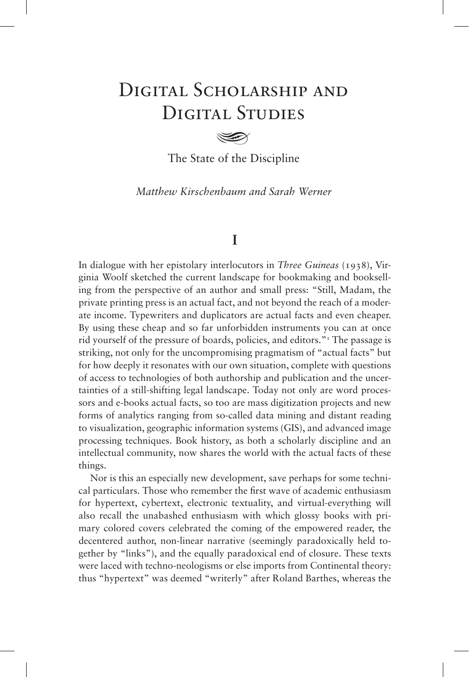# DIGITAL SCHOLARSHIP AND DIGITAL STUDIES

The State of the Discipline

*Matthew Kirschenbaum and Sarah Werner* 

## **I**

In dialogue with her epistolary interlocutors in *Three Guineas* (1938), Virginia Woolf sketched the current landscape for bookmaking and bookselling from the perspective of an author and small press: "Still, Madam, the private printing press is an actual fact, and not beyond the reach of a moderate income. Typewriters and duplicators are actual facts and even cheaper. By using these cheap and so far unforbidden instruments you can at once rid yourself of the pressure of boards, policies, and editors."<sup>1</sup> The passage is striking, not only for the uncompromising pragmatism of "actual facts" but for how deeply it resonates with our own situation, complete with questions of access to technologies of both authorship and publication and the uncertainties of a still-shifting legal landscape. Today not only are word processors and e-books actual facts, so too are mass digitization projects and new forms of analytics ranging from so-called data mining and distant reading to visualization, geographic information systems (GIS), and advanced image processing techniques. Book history, as both a scholarly discipline and an intellectual community, now shares the world with the actual facts of these things.

Nor is this an especially new development, save perhaps for some technical particulars. Those who remember the first wave of academic enthusiasm for hypertext, cybertext, electronic textuality, and virtual-everything will also recall the unabashed enthusiasm with which glossy books with primary colored covers celebrated the coming of the empowered reader, the decentered author, non-linear narrative (seemingly paradoxically held together by "links"), and the equally paradoxical end of closure. These texts were laced with techno-neologisms or else imports from Continental theory: thus "hypertext" was deemed "writerly" after Roland Barthes, whereas the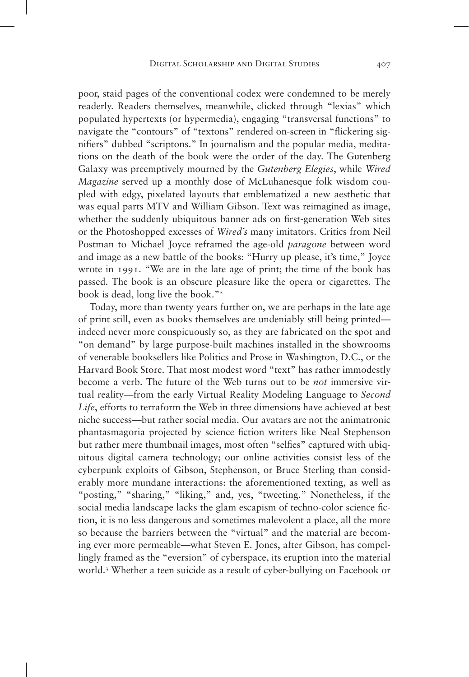poor, staid pages of the conventional codex were condemned to be merely readerly. Readers themselves, meanwhile, clicked through "lexias" which populated hypertexts (or hypermedia), engaging "transversal functions" to navigate the "contours" of "textons" rendered on-screen in "flickering signifiers" dubbed "scriptons." In journalism and the popular media, meditations on the death of the book were the order of the day. The Gutenberg Galaxy was preemptively mourned by the *Gutenberg Elegies*, while *Wired Magazine* served up a monthly dose of McLuhanesque folk wisdom coupled with edgy, pixelated layouts that emblematized a new aesthetic that was equal parts MTV and William Gibson. Text was reimagined as image, whether the suddenly ubiquitous banner ads on first-generation Web sites or the Photoshopped excesses of *Wired's* many imitators. Critics from Neil Postman to Michael Joyce reframed the age-old *paragone* between word and image as a new battle of the books: "Hurry up please, it's time," Joyce wrote in 1991. "We are in the late age of print; the time of the book has passed. The book is an obscure pleasure like the opera or cigarettes. The book is dead, long live the book."<sup>2</sup>

Today, more than twenty years further on, we are perhaps in the late age of print still, even as books themselves are undeniably still being printed indeed never more conspicuously so, as they are fabricated on the spot and "on demand" by large purpose-built machines installed in the showrooms of venerable booksellers like Politics and Prose in Washington, D.C., or the Harvard Book Store. That most modest word "text" has rather immodestly become a verb. The future of the Web turns out to be *not* immersive virtual reality—from the early Virtual Reality Modeling Language to *Second Life*, efforts to terraform the Web in three dimensions have achieved at best niche success—but rather social media. Our avatars are not the animatronic phantasmagoria projected by science fiction writers like Neal Stephenson but rather mere thumbnail images, most often "selfies" captured with ubiquitous digital camera technology; our online activities consist less of the cyberpunk exploits of Gibson, Stephenson, or Bruce Sterling than considerably more mundane interactions: the aforementioned texting, as well as "posting," "sharing," "liking," and, yes, "tweeting." Nonetheless, if the social media landscape lacks the glam escapism of techno-color science fiction, it is no less dangerous and sometimes malevolent a place, all the more so because the barriers between the "virtual" and the material are becoming ever more permeable—what Steven E. Jones, after Gibson, has compellingly framed as the "eversion" of cyberspace, its eruption into the material world.<sup>3</sup> Whether a teen suicide as a result of cyber-bullying on Facebook or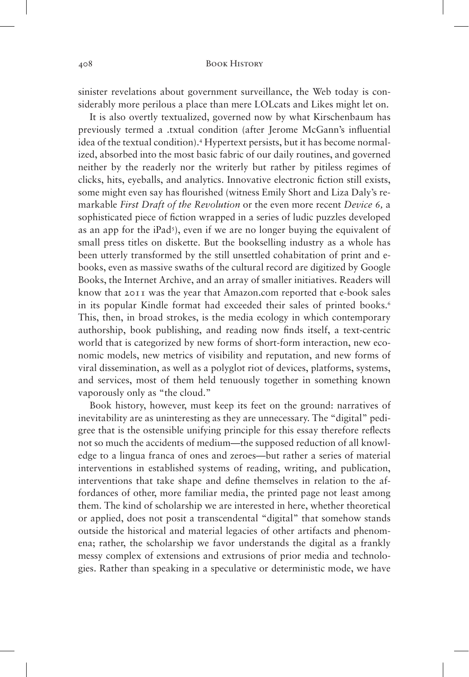sinister revelations about government surveillance, the Web today is considerably more perilous a place than mere LOLcats and Likes might let on.

It is also overtly textualized, governed now by what Kirschenbaum has previously termed a .txtual condition (after Jerome McGann's influential idea of the textual condition).<sup>4</sup> Hypertext persists, but it has become normalized, absorbed into the most basic fabric of our daily routines, and governed neither by the readerly nor the writerly but rather by pitiless regimes of clicks, hits, eyeballs, and analytics. Innovative electronic fiction still exists, some might even say has flourished (witness Emily Short and Liza Daly's remarkable *First Draft of the Revolution* or the even more recent *Device 6,* a sophisticated piece of fiction wrapped in a series of ludic puzzles developed as an app for the iPad<sup>5</sup>), even if we are no longer buying the equivalent of small press titles on diskette. But the bookselling industry as a whole has been utterly transformed by the still unsettled cohabitation of print and ebooks, even as massive swaths of the cultural record are digitized by Google Books, the Internet Archive, and an array of smaller initiatives. Readers will know that 2011 was the year that Amazon.com reported that e-book sales in its popular Kindle format had exceeded their sales of printed books.<sup>6</sup> This, then, in broad strokes, is the media ecology in which contemporary authorship, book publishing, and reading now finds itself, a text-centric world that is categorized by new forms of short-form interaction, new economic models, new metrics of visibility and reputation, and new forms of viral dissemination, as well as a polyglot riot of devices, platforms, systems, and services, most of them held tenuously together in something known vaporously only as "the cloud."

Book history, however, must keep its feet on the ground: narratives of inevitability are as uninteresting as they are unnecessary. The "digital" pedigree that is the ostensible unifying principle for this essay therefore reflects not so much the accidents of medium—the supposed reduction of all knowledge to a lingua franca of ones and zeroes—but rather a series of material interventions in established systems of reading, writing, and publication, interventions that take shape and define themselves in relation to the affordances of other, more familiar media, the printed page not least among them. The kind of scholarship we are interested in here, whether theoretical or applied, does not posit a transcendental "digital" that somehow stands outside the historical and material legacies of other artifacts and phenomena; rather, the scholarship we favor understands the digital as a frankly messy complex of extensions and extrusions of prior media and technologies. Rather than speaking in a speculative or deterministic mode, we have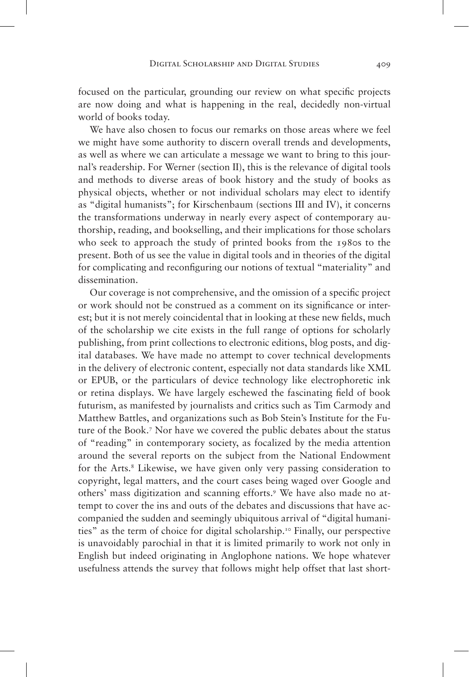focused on the particular, grounding our review on what specific projects are now doing and what is happening in the real, decidedly non-virtual world of books today.

We have also chosen to focus our remarks on those areas where we feel we might have some authority to discern overall trends and developments, as well as where we can articulate a message we want to bring to this journal's readership. For Werner (section II), this is the relevance of digital tools and methods to diverse areas of book history and the study of books as physical objects, whether or not individual scholars may elect to identify as "digital humanists"; for Kirschenbaum (sections III and IV), it concerns the transformations underway in nearly every aspect of contemporary authorship, reading, and bookselling, and their implications for those scholars who seek to approach the study of printed books from the 1980s to the present. Both of us see the value in digital tools and in theories of the digital for complicating and reconfiguring our notions of textual "materiality" and dissemination.

Our coverage is not comprehensive, and the omission of a specific project or work should not be construed as a comment on its significance or interest; but it is not merely coincidental that in looking at these new fields, much of the scholarship we cite exists in the full range of options for scholarly publishing, from print collections to electronic editions, blog posts, and digital databases. We have made no attempt to cover technical developments in the delivery of electronic content, especially not data standards like XML or EPUB, or the particulars of device technology like electrophoretic ink or retina displays. We have largely eschewed the fascinating field of book futurism, as manifested by journalists and critics such as Tim Carmody and Matthew Battles, and organizations such as Bob Stein's Institute for the Future of the Book.<sup>7</sup> Nor have we covered the public debates about the status of "reading" in contemporary society, as focalized by the media attention around the several reports on the subject from the National Endowment for the Arts.<sup>8</sup> Likewise, we have given only very passing consideration to copyright, legal matters, and the court cases being waged over Google and others' mass digitization and scanning efforts.<sup>9</sup> We have also made no attempt to cover the ins and outs of the debates and discussions that have accompanied the sudden and seemingly ubiquitous arrival of "digital humanities" as the term of choice for digital scholarship.<sup>10</sup> Finally, our perspective is unavoidably parochial in that it is limited primarily to work not only in English but indeed originating in Anglophone nations. We hope whatever usefulness attends the survey that follows might help offset that last short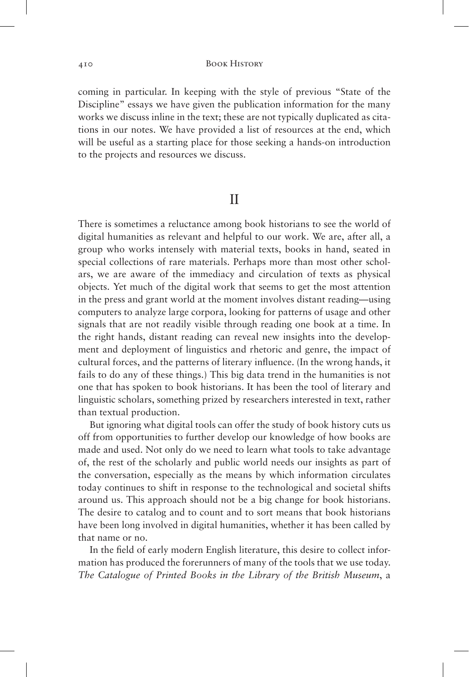coming in particular. In keeping with the style of previous "State of the Discipline" essays we have given the publication information for the many works we discuss inline in the text; these are not typically duplicated as citations in our notes. We have provided a list of resources at the end, which will be useful as a starting place for those seeking a hands-on introduction to the projects and resources we discuss.

# II

There is sometimes a reluctance among book historians to see the world of digital humanities as relevant and helpful to our work. We are, after all, a group who works intensely with material texts, books in hand, seated in special collections of rare materials. Perhaps more than most other scholars, we are aware of the immediacy and circulation of texts as physical objects. Yet much of the digital work that seems to get the most attention in the press and grant world at the moment involves distant reading—using computers to analyze large corpora, looking for patterns of usage and other signals that are not readily visible through reading one book at a time. In the right hands, distant reading can reveal new insights into the development and deployment of linguistics and rhetoric and genre, the impact of cultural forces, and the patterns of literary influence. (In the wrong hands, it fails to do any of these things.) This big data trend in the humanities is not one that has spoken to book historians. It has been the tool of literary and linguistic scholars, something prized by researchers interested in text, rather than textual production.

But ignoring what digital tools can offer the study of book history cuts us off from opportunities to further develop our knowledge of how books are made and used. Not only do we need to learn what tools to take advantage of, the rest of the scholarly and public world needs our insights as part of the conversation, especially as the means by which information circulates today continues to shift in response to the technological and societal shifts around us. This approach should not be a big change for book historians. The desire to catalog and to count and to sort means that book historians have been long involved in digital humanities, whether it has been called by that name or no.

In the field of early modern English literature, this desire to collect information has produced the forerunners of many of the tools that we use today. *The Catalogue of Printed Books in the Library of the British Museum*, a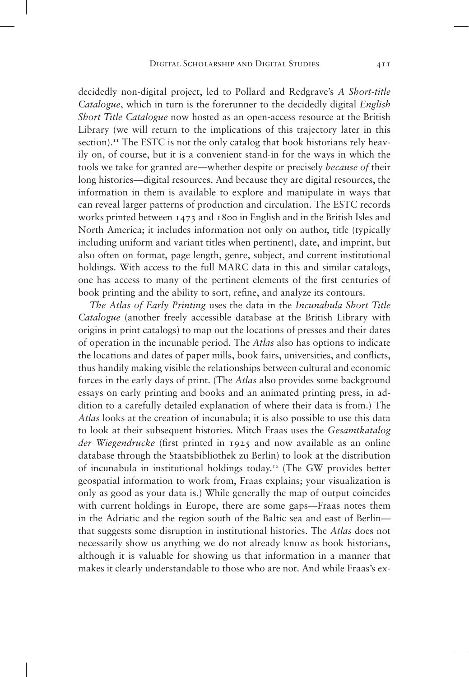decidedly non-digital project, led to Pollard and Redgrave's *A Short-title Catalogue*, which in turn is the forerunner to the decidedly digital *English Short Title Catalogue* now hosted as an open-access resource at the British Library (we will return to the implications of this trajectory later in this section).<sup>11</sup> The ESTC is not the only catalog that book historians rely heavily on, of course, but it is a convenient stand-in for the ways in which the tools we take for granted are—whether despite or precisely *because of* their long histories—digital resources. And because they are digital resources, the information in them is available to explore and manipulate in ways that can reveal larger patterns of production and circulation. The ESTC records works printed between 1473 and 1800 in English and in the British Isles and North America; it includes information not only on author, title (typically including uniform and variant titles when pertinent), date, and imprint, but also often on format, page length, genre, subject, and current institutional holdings. With access to the full MARC data in this and similar catalogs, one has access to many of the pertinent elements of the first centuries of book printing and the ability to sort, refine, and analyze its contours.

*The Atlas of Early Printing* uses the data in the *Incunabula Short Title Catalogue* (another freely accessible database at the British Library with origins in print catalogs) to map out the locations of presses and their dates of operation in the incunable period. The *Atlas* also has options to indicate the locations and dates of paper mills, book fairs, universities, and conflicts, thus handily making visible the relationships between cultural and economic forces in the early days of print. (The *Atlas* also provides some background essays on early printing and books and an animated printing press, in addition to a carefully detailed explanation of where their data is from.) The *Atlas* looks at the creation of incunabula; it is also possible to use this data to look at their subsequent histories. Mitch Fraas uses the *Gesamtkatalog der Wiegendrucke* (first printed in 1925 and now available as an online database through the Staatsbibliothek zu Berlin) to look at the distribution of incunabula in institutional holdings today.12 (The GW provides better geospatial information to work from, Fraas explains; your visualization is only as good as your data is.) While generally the map of output coincides with current holdings in Europe, there are some gaps—Fraas notes them in the Adriatic and the region south of the Baltic sea and east of Berlin that suggests some disruption in institutional histories. The *Atlas* does not necessarily show us anything we do not already know as book historians, although it is valuable for showing us that information in a manner that makes it clearly understandable to those who are not. And while Fraas's ex-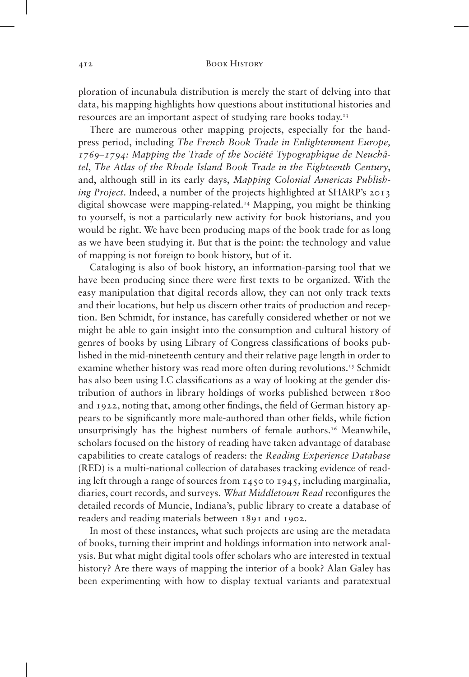ploration of incunabula distribution is merely the start of delving into that data, his mapping highlights how questions about institutional histories and resources are an important aspect of studying rare books today.<sup>13</sup>

There are numerous other mapping projects, especially for the handpress period, including *The French Book Trade in Enlightenment Europe, 1769–1794: Mapping the Trade of the Société Typographique de Neuchâtel*, *The Atlas of the Rhode Island Book Trade in the Eighteenth Century*, and, although still in its early days, *Mapping Colonial Americas Publishing Project*. Indeed, a number of the projects highlighted at SHARP's 2013 digital showcase were mapping-related.14 Mapping, you might be thinking to yourself, is not a particularly new activity for book historians, and you would be right. We have been producing maps of the book trade for as long as we have been studying it. But that is the point: the technology and value of mapping is not foreign to book history, but of it.

Cataloging is also of book history, an information-parsing tool that we have been producing since there were first texts to be organized. With the easy manipulation that digital records allow, they can not only track texts and their locations, but help us discern other traits of production and reception. Ben Schmidt, for instance, has carefully considered whether or not we might be able to gain insight into the consumption and cultural history of genres of books by using Library of Congress classifications of books published in the mid-nineteenth century and their relative page length in order to examine whether history was read more often during revolutions.<sup>15</sup> Schmidt has also been using LC classifications as a way of looking at the gender distribution of authors in library holdings of works published between 1800 and 1922, noting that, among other findings, the field of German history appears to be significantly more male-authored than other fields, while fiction unsurprisingly has the highest numbers of female authors.<sup>16</sup> Meanwhile, scholars focused on the history of reading have taken advantage of database capabilities to create catalogs of readers: the *Reading Experience Database* (RED) is a multi-national collection of databases tracking evidence of reading left through a range of sources from 1450 to 1945, including marginalia, diaries, court records, and surveys. *What Middletown Read* reconfigures the detailed records of Muncie, Indiana's, public library to create a database of readers and reading materials between 1891 and 1902.

In most of these instances, what such projects are using are the metadata of books, turning their imprint and holdings information into network analysis. But what might digital tools offer scholars who are interested in textual history? Are there ways of mapping the interior of a book? Alan Galey has been experimenting with how to display textual variants and paratextual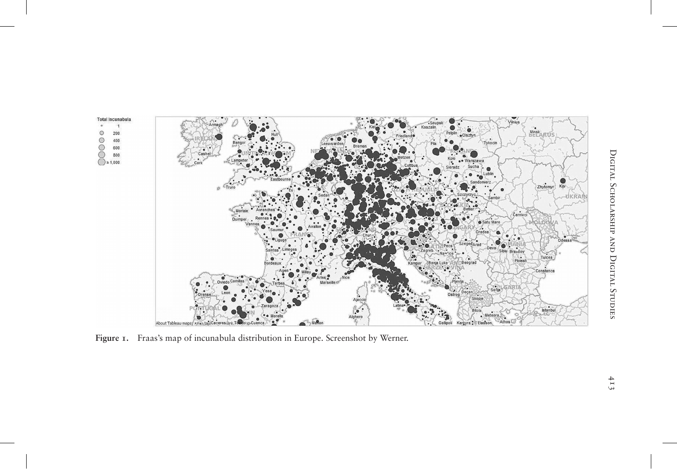

**Figure 1.** Fraas's map of incunabula distribution in Europe. Screenshot by Werner.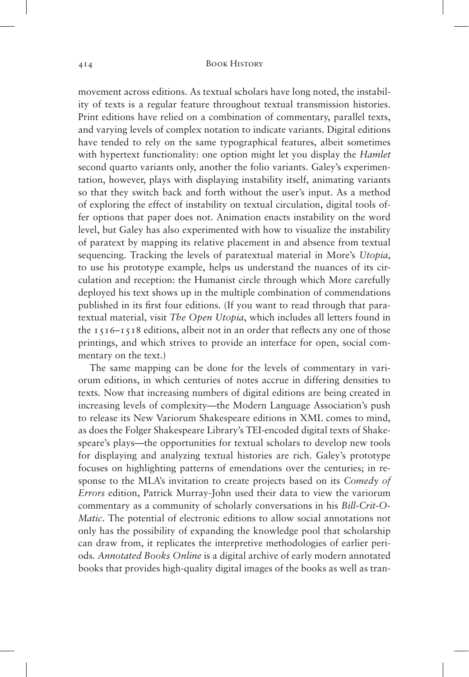movement across editions. As textual scholars have long noted, the instability of texts is a regular feature throughout textual transmission histories. Print editions have relied on a combination of commentary, parallel texts, and varying levels of complex notation to indicate variants. Digital editions have tended to rely on the same typographical features, albeit sometimes with hypertext functionality: one option might let you display the *Hamlet* second quarto variants only, another the folio variants. Galey's experimentation, however, plays with displaying instability itself, animating variants so that they switch back and forth without the user's input. As a method of exploring the effect of instability on textual circulation, digital tools offer options that paper does not. Animation enacts instability on the word level, but Galey has also experimented with how to visualize the instability of paratext by mapping its relative placement in and absence from textual sequencing. Tracking the levels of paratextual material in More's *Utopia*, to use his prototype example, helps us understand the nuances of its circulation and reception: the Humanist circle through which More carefully deployed his text shows up in the multiple combination of commendations published in its first four editions. (If you want to read through that paratextual material, visit *The Open Utopia*, which includes all letters found in the 1516–1518 editions, albeit not in an order that reflects any one of those printings, and which strives to provide an interface for open, social commentary on the text.)

The same mapping can be done for the levels of commentary in variorum editions, in which centuries of notes accrue in differing densities to texts. Now that increasing numbers of digital editions are being created in increasing levels of complexity—the Modern Language Association's push to release its New Variorum Shakespeare editions in XML comes to mind, as does the Folger Shakespeare Library's TEI-encoded digital texts of Shakespeare's plays—the opportunities for textual scholars to develop new tools for displaying and analyzing textual histories are rich. Galey's prototype focuses on highlighting patterns of emendations over the centuries; in response to the MLA's invitation to create projects based on its *Comedy of Errors* edition, Patrick Murray-John used their data to view the variorum commentary as a community of scholarly conversations in his *Bill-Crit-O-Matic*. The potential of electronic editions to allow social annotations not only has the possibility of expanding the knowledge pool that scholarship can draw from, it replicates the interpretive methodologies of earlier periods. *Annotated Books Online* is a digital archive of early modern annotated books that provides high-quality digital images of the books as well as tran-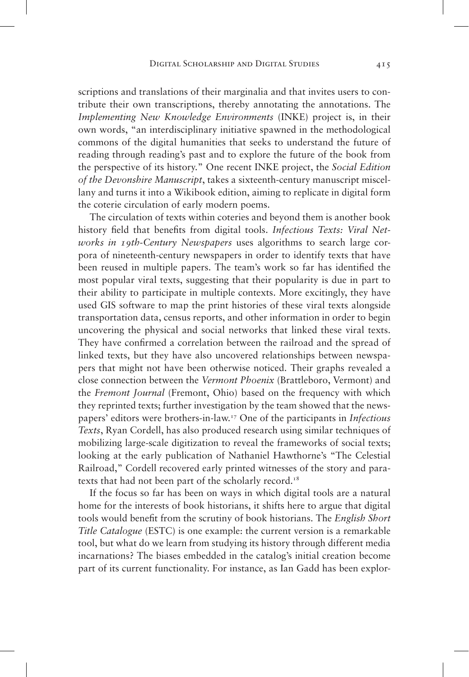scriptions and translations of their marginalia and that invites users to contribute their own transcriptions, thereby annotating the annotations. The *Implementing New Knowledge Environments* (INKE) project is, in their own words, "an interdisciplinary initiative spawned in the methodological commons of the digital humanities that seeks to understand the future of reading through reading's past and to explore the future of the book from the perspective of its history." One recent INKE project, the *Social Edition of the Devonshire Manuscript*, takes a sixteenth-century manuscript miscellany and turns it into a Wikibook edition, aiming to replicate in digital form the coterie circulation of early modern poems.

The circulation of texts within coteries and beyond them is another book history field that benefits from digital tools. *Infectious Texts: Viral Networks in 19th-Century Newspapers* uses algorithms to search large corpora of nineteenth-century newspapers in order to identify texts that have been reused in multiple papers. The team's work so far has identified the most popular viral texts, suggesting that their popularity is due in part to their ability to participate in multiple contexts. More excitingly, they have used GIS software to map the print histories of these viral texts alongside transportation data, census reports, and other information in order to begin uncovering the physical and social networks that linked these viral texts. They have confirmed a correlation between the railroad and the spread of linked texts, but they have also uncovered relationships between newspapers that might not have been otherwise noticed. Their graphs revealed a close connection between the *Vermont Phoenix* (Brattleboro, Vermont) and the *Fremont Journal* (Fremont, Ohio) based on the frequency with which they reprinted texts; further investigation by the team showed that the newspapers' editors were brothers-in-law.17 One of the participants in *Infectious Texts*, Ryan Cordell, has also produced research using similar techniques of mobilizing large-scale digitization to reveal the frameworks of social texts; looking at the early publication of Nathaniel Hawthorne's "The Celestial Railroad," Cordell recovered early printed witnesses of the story and paratexts that had not been part of the scholarly record.<sup>18</sup>

If the focus so far has been on ways in which digital tools are a natural home for the interests of book historians, it shifts here to argue that digital tools would benefit from the scrutiny of book historians. The *English Short Title Catalogue* (ESTC) is one example: the current version is a remarkable tool, but what do we learn from studying its history through different media incarnations? The biases embedded in the catalog's initial creation become part of its current functionality. For instance, as Ian Gadd has been explor-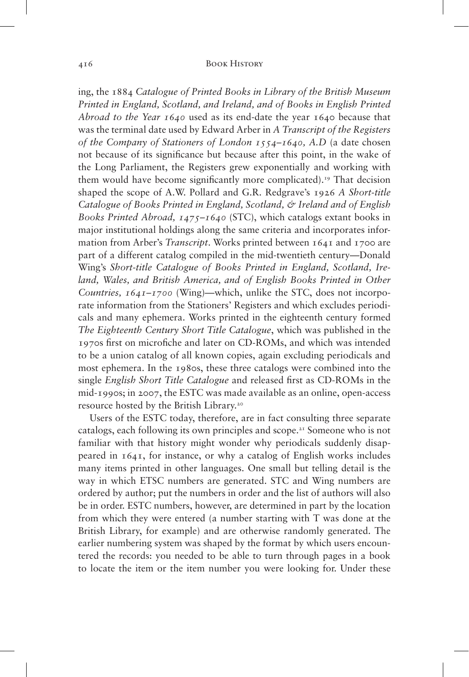#### 416 Book History

ing, the 1884 *Catalogue of Printed Books in Library of the British Museum Printed in England, Scotland, and Ireland, and of Books in English Printed Abroad to the Year 1640* used as its end-date the year 1640 because that was the terminal date used by Edward Arber in *A Transcript of the Registers of the Company of Stationers of London 1554–1640, A.D* (a date chosen not because of its significance but because after this point, in the wake of the Long Parliament, the Registers grew exponentially and working with them would have become significantly more complicated).19 That decision shaped the scope of A.W. Pollard and G.R. Redgrave's 1926 *A Short-title Catalogue of Books Printed in England, Scotland, & Ireland and of English Books Printed Abroad, 1475–1640* (STC), which catalogs extant books in major institutional holdings along the same criteria and incorporates information from Arber's *Transcript*. Works printed between 1641 and 1700 are part of a different catalog compiled in the mid-twentieth century—Donald Wing's *Short-title Catalogue of Books Printed in England, Scotland, Ireland, Wales, and British America, and of English Books Printed in Other Countries, 1641–1700* (Wing)—which, unlike the STC, does not incorporate information from the Stationers' Registers and which excludes periodicals and many ephemera. Works printed in the eighteenth century formed *The Eighteenth Century Short Title Catalogue*, which was published in the 1970s first on microfiche and later on CD-ROMs, and which was intended to be a union catalog of all known copies, again excluding periodicals and most ephemera. In the 1980s, these three catalogs were combined into the single *English Short Title Catalogue* and released first as CD-ROMs in the mid-1990s; in 2007, the ESTC was made available as an online, open-access resource hosted by the British Library.<sup>20</sup>

Users of the ESTC today, therefore, are in fact consulting three separate catalogs, each following its own principles and scope.21 Someone who is not familiar with that history might wonder why periodicals suddenly disappeared in 1641, for instance, or why a catalog of English works includes many items printed in other languages. One small but telling detail is the way in which ETSC numbers are generated. STC and Wing numbers are ordered by author; put the numbers in order and the list of authors will also be in order. ESTC numbers, however, are determined in part by the location from which they were entered (a number starting with T was done at the British Library, for example) and are otherwise randomly generated. The earlier numbering system was shaped by the format by which users encountered the records: you needed to be able to turn through pages in a book to locate the item or the item number you were looking for. Under these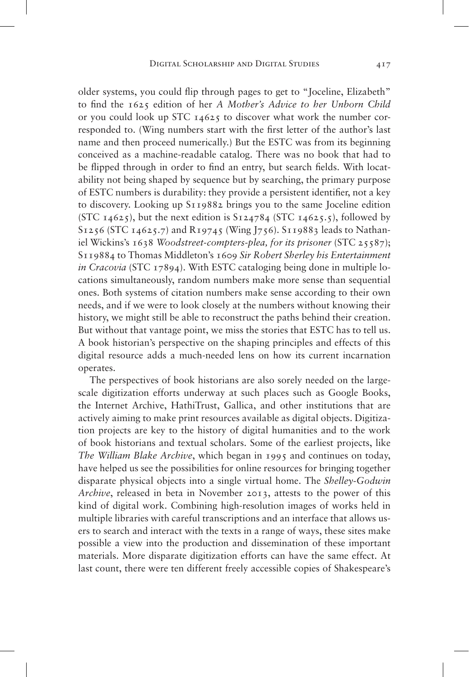older systems, you could flip through pages to get to "Joceline, Elizabeth" to find the 1625 edition of her *A Mother's Advice to her Unborn Child* or you could look up STC 14625 to discover what work the number corresponded to. (Wing numbers start with the first letter of the author's last name and then proceed numerically.) But the ESTC was from its beginning conceived as a machine-readable catalog. There was no book that had to be flipped through in order to find an entry, but search fields. With locatability not being shaped by sequence but by searching, the primary purpose of ESTC numbers is durability: they provide a persistent identifier, not a key to discovery. Looking up S119882 brings you to the same Joceline edition (STC  $14625$ ), but the next edition is  $S124784$  (STC  $14625.5$ ), followed by S1256 (STC 14625.7) and R19745 (Wing J756). S119883 leads to Nathaniel Wickins's 1638 *Woodstreet-compters-plea, for its prisoner* (STC 25587); S119884 to Thomas Middleton's 1609 *Sir Robert Sherley his Entertainment in Cracovia* (STC 17894). With ESTC cataloging being done in multiple locations simultaneously, random numbers make more sense than sequential ones. Both systems of citation numbers make sense according to their own needs, and if we were to look closely at the numbers without knowing their history, we might still be able to reconstruct the paths behind their creation. But without that vantage point, we miss the stories that ESTC has to tell us. A book historian's perspective on the shaping principles and effects of this digital resource adds a much-needed lens on how its current incarnation operates.

The perspectives of book historians are also sorely needed on the largescale digitization efforts underway at such places such as Google Books, the Internet Archive, HathiTrust, Gallica, and other institutions that are actively aiming to make print resources available as digital objects. Digitization projects are key to the history of digital humanities and to the work of book historians and textual scholars. Some of the earliest projects, like *The William Blake Archive*, which began in 1995 and continues on today, have helped us see the possibilities for online resources for bringing together disparate physical objects into a single virtual home. The *Shelley-Godwin Archive*, released in beta in November 2013, attests to the power of this kind of digital work. Combining high-resolution images of works held in multiple libraries with careful transcriptions and an interface that allows users to search and interact with the texts in a range of ways, these sites make possible a view into the production and dissemination of these important materials. More disparate digitization efforts can have the same effect. At last count, there were ten different freely accessible copies of Shakespeare's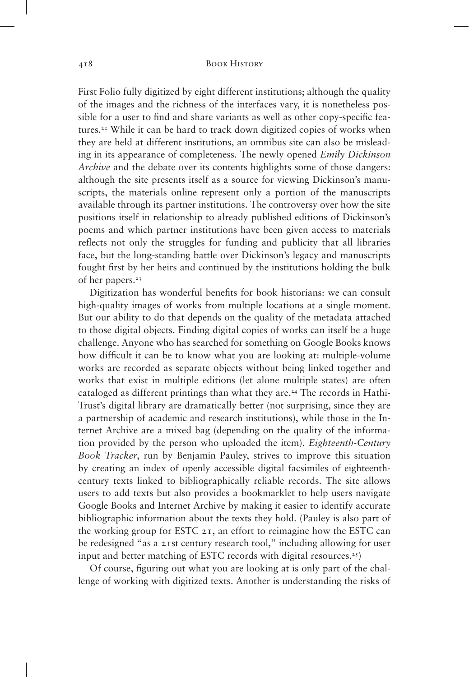First Folio fully digitized by eight different institutions; although the quality of the images and the richness of the interfaces vary, it is nonetheless possible for a user to find and share variants as well as other copy-specific features.<sup>22</sup> While it can be hard to track down digitized copies of works when they are held at different institutions, an omnibus site can also be misleading in its appearance of completeness. The newly opened *Emily Dickinson Archive* and the debate over its contents highlights some of those dangers: although the site presents itself as a source for viewing Dickinson's manuscripts, the materials online represent only a portion of the manuscripts available through its partner institutions. The controversy over how the site positions itself in relationship to already published editions of Dickinson's poems and which partner institutions have been given access to materials reflects not only the struggles for funding and publicity that all libraries face, but the long-standing battle over Dickinson's legacy and manuscripts fought first by her heirs and continued by the institutions holding the bulk of her papers.<sup>23</sup>

Digitization has wonderful benefits for book historians: we can consult high-quality images of works from multiple locations at a single moment. But our ability to do that depends on the quality of the metadata attached to those digital objects. Finding digital copies of works can itself be a huge challenge. Anyone who has searched for something on Google Books knows how difficult it can be to know what you are looking at: multiple-volume works are recorded as separate objects without being linked together and works that exist in multiple editions (let alone multiple states) are often cataloged as different printings than what they are.<sup>24</sup> The records in Hathi-Trust's digital library are dramatically better (not surprising, since they are a partnership of academic and research institutions), while those in the Internet Archive are a mixed bag (depending on the quality of the information provided by the person who uploaded the item). *Eighteenth-Century Book Tracker*, run by Benjamin Pauley, strives to improve this situation by creating an index of openly accessible digital facsimiles of eighteenthcentury texts linked to bibliographically reliable records. The site allows users to add texts but also provides a bookmarklet to help users navigate Google Books and Internet Archive by making it easier to identify accurate bibliographic information about the texts they hold. (Pauley is also part of the working group for ESTC 21, an effort to reimagine how the ESTC can be redesigned "as a 21st century research tool," including allowing for user input and better matching of ESTC records with digital resources.<sup>25</sup>)

Of course, figuring out what you are looking at is only part of the challenge of working with digitized texts. Another is understanding the risks of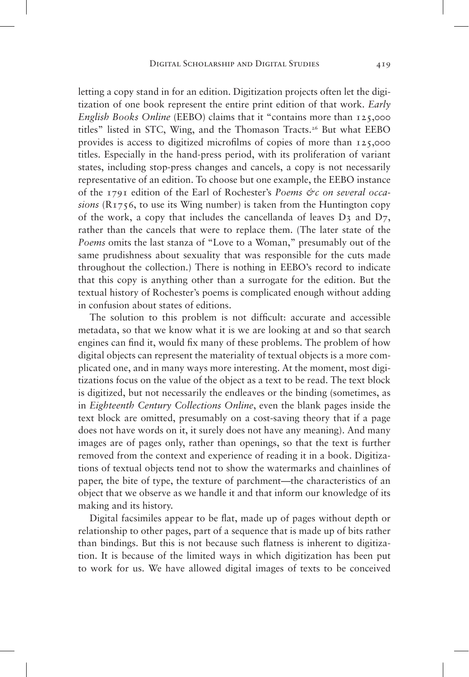letting a copy stand in for an edition. Digitization projects often let the digitization of one book represent the entire print edition of that work. *Early English Books Online* (EEBO) claims that it "contains more than 125,000 titles" listed in STC, Wing, and the Thomason Tracts.<sup>26</sup> But what EEBO provides is access to digitized microfilms of copies of more than 125,000 titles. Especially in the hand-press period, with its proliferation of variant states, including stop-press changes and cancels, a copy is not necessarily representative of an edition. To choose but one example, the EEBO instance of the 1791 edition of the Earl of Rochester's *Poems &c on several occasions* (R1756, to use its Wing number) is taken from the Huntington copy of the work, a copy that includes the cancellanda of leaves  $D_3$  and  $D_7$ , rather than the cancels that were to replace them. (The later state of the *Poems* omits the last stanza of "Love to a Woman," presumably out of the same prudishness about sexuality that was responsible for the cuts made throughout the collection.) There is nothing in EEBO's record to indicate that this copy is anything other than a surrogate for the edition. But the textual history of Rochester's poems is complicated enough without adding in confusion about states of editions.

The solution to this problem is not difficult: accurate and accessible metadata, so that we know what it is we are looking at and so that search engines can find it, would fix many of these problems. The problem of how digital objects can represent the materiality of textual objects is a more complicated one, and in many ways more interesting. At the moment, most digitizations focus on the value of the object as a text to be read. The text block is digitized, but not necessarily the endleaves or the binding (sometimes, as in *Eighteenth Century Collections Online*, even the blank pages inside the text block are omitted, presumably on a cost-saving theory that if a page does not have words on it, it surely does not have any meaning). And many images are of pages only, rather than openings, so that the text is further removed from the context and experience of reading it in a book. Digitizations of textual objects tend not to show the watermarks and chainlines of paper, the bite of type, the texture of parchment—the characteristics of an object that we observe as we handle it and that inform our knowledge of its making and its history.

Digital facsimiles appear to be flat, made up of pages without depth or relationship to other pages, part of a sequence that is made up of bits rather than bindings. But this is not because such flatness is inherent to digitization. It is because of the limited ways in which digitization has been put to work for us. We have allowed digital images of texts to be conceived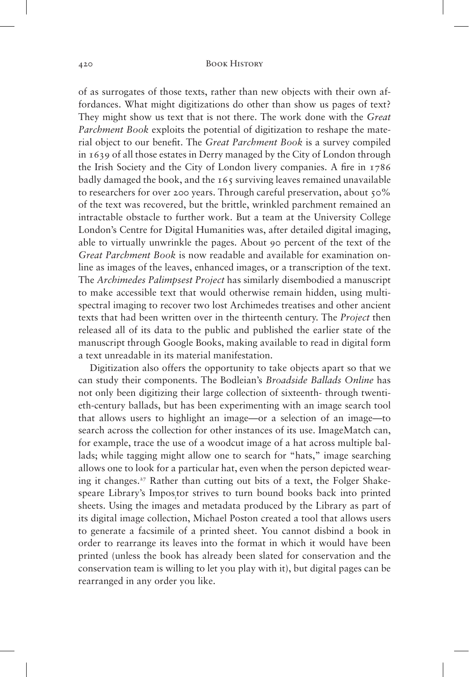of as surrogates of those texts, rather than new objects with their own affordances. What might digitizations do other than show us pages of text? They might show us text that is not there. The work done with the *Great Parchment Book* exploits the potential of digitization to reshape the material object to our benefit. The *Great Parchment Book* is a survey compiled in 1639 of all those estates in Derry managed by the City of London through the Irish Society and the City of London livery companies. A fire in 1786 badly damaged the book, and the 165 surviving leaves remained unavailable to researchers for over 200 years. Through careful preservation, about 50% of the text was recovered, but the brittle, wrinkled parchment remained an intractable obstacle to further work. But a team at the University College London's Centre for Digital Humanities was, after detailed digital imaging, able to virtually unwrinkle the pages. About 90 percent of the text of the *Great Parchment Book* is now readable and available for examination online as images of the leaves, enhanced images, or a transcription of the text. The *Archimedes Palimpsest Project* has similarly disembodied a manuscript to make accessible text that would otherwise remain hidden, using multispectral imaging to recover two lost Archimedes treatises and other ancient texts that had been written over in the thirteenth century. The *Project* then released all of its data to the public and published the earlier state of the manuscript through Google Books, making available to read in digital form a text unreadable in its material manifestation.

Digitization also offers the opportunity to take objects apart so that we can study their components. The Bodleian's *Broadside Ballads Online* has not only been digitizing their large collection of sixteenth- through twentieth-century ballads, but has been experimenting with an image search tool that allows users to highlight an image—or a selection of an image—to search across the collection for other instances of its use. ImageMatch can, for example, trace the use of a woodcut image of a hat across multiple ballads; while tagging might allow one to search for "hats," image searching allows one to look for a particular hat, even when the person depicted wearing it changes.<sup>27</sup> Rather than cutting out bits of a text, the Folger Shakespeare Library's Impos<sub>i</sub>tor strives to turn bound books back into printed sheets. Using the images and metadata produced by the Library as part of its digital image collection, Michael Poston created a tool that allows users to generate a facsimile of a printed sheet. You cannot disbind a book in order to rearrange its leaves into the format in which it would have been printed (unless the book has already been slated for conservation and the conservation team is willing to let you play with it), but digital pages can be rearranged in any order you like.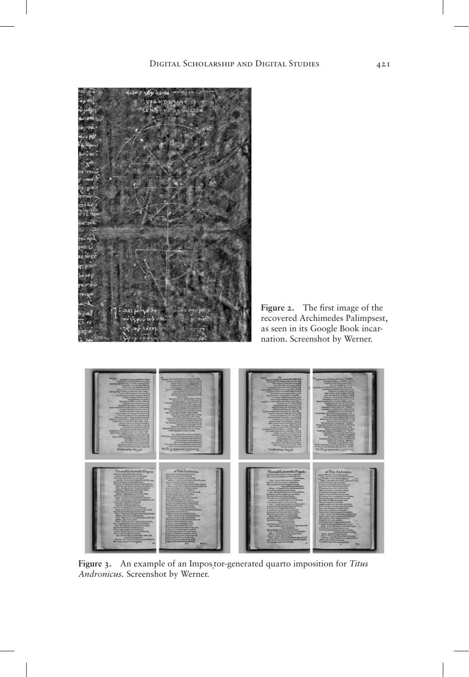

**Figure 2.** The first image of the recovered Archimedes Palimpsest, as seen in its Google Book incarnation. Screenshot by Werner.



Figure 3. An example of an Impos<sub>i</sub>tor-generated quarto imposition for *Titus Andronicus.* Screenshot by Werner.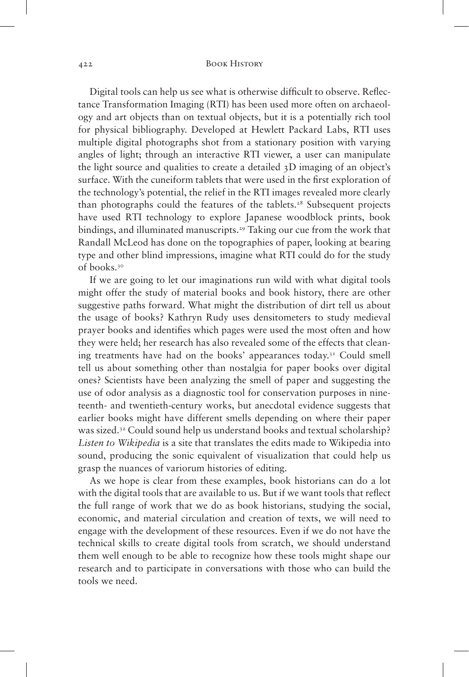Digital tools can help us see what is otherwise difficult to observe. Reflectance Transformation Imaging (RTI) has been used more often on archaeology and art objects than on textual objects, but it is a potentially rich tool for physical bibliography. Developed at Hewlett Packard Labs, RTI uses multiple digital photographs shot from a stationary position with varying angles of light; through an interactive RTI viewer, a user can manipulate the light source and qualities to create a detailed 3D imaging of an object's surface. With the cuneiform tablets that were used in the first exploration of the technology's potential, the relief in the RTI images revealed more clearly than photographs could the features of the tablets.<sup>28</sup> Subsequent projects have used RTI technology to explore Japanese woodblock prints, book bindings, and illuminated manuscripts.<sup>29</sup> Taking our cue from the work that Randall McLeod has done on the topographies of paper, looking at bearing type and other blind impressions, imagine what RTI could do for the study of books.<sup>30</sup>

If we are going to let our imaginations run wild with what digital tools might offer the study of material books and book history, there are other suggestive paths forward. What might the distribution of dirt tell us about the usage of books? Kathryn Rudy uses densitometers to study medieval prayer books and identifies which pages were used the most often and how they were held; her research has also revealed some of the effects that cleaning treatments have had on the books' appearances today.<sup>31</sup> Could smell tell us about something other than nostalgia for paper books over digital ones? Scientists have been analyzing the smell of paper and suggesting the use of odor analysis as a diagnostic tool for conservation purposes in nineteenth- and twentieth-century works, but anecdotal evidence suggests that earlier books might have different smells depending on where their paper was sized.32 Could sound help us understand books and textual scholarship? *Listen to Wikipedia* is a site that translates the edits made to Wikipedia into sound, producing the sonic equivalent of visualization that could help us grasp the nuances of variorum histories of editing.

As we hope is clear from these examples, book historians can do a lot with the digital tools that are available to us. But if we want tools that reflect the full range of work that we do as book historians, studying the social, economic, and material circulation and creation of texts, we will need to engage with the development of these resources. Even if we do not have the technical skills to create digital tools from scratch, we should understand them well enough to be able to recognize how these tools might shape our research and to participate in conversations with those who can build the tools we need.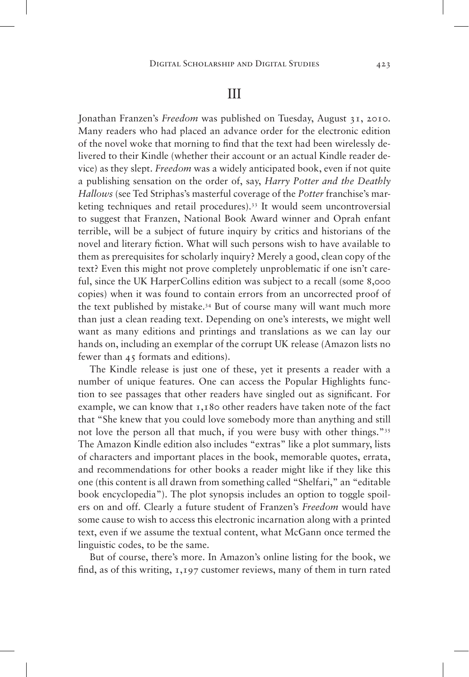# III

Jonathan Franzen's *Freedom* was published on Tuesday, August 31, 2010. Many readers who had placed an advance order for the electronic edition of the novel woke that morning to find that the text had been wirelessly delivered to their Kindle (whether their account or an actual Kindle reader device) as they slept. *Freedom* was a widely anticipated book, even if not quite a publishing sensation on the order of, say, *Harry Potter and the Deathly Hallows* (see Ted Striphas's masterful coverage of the *Potter* franchise's marketing techniques and retail procedures).33 It would seem uncontroversial to suggest that Franzen, National Book Award winner and Oprah enfant terrible, will be a subject of future inquiry by critics and historians of the novel and literary fiction. What will such persons wish to have available to them as prerequisites for scholarly inquiry? Merely a good, clean copy of the text? Even this might not prove completely unproblematic if one isn't careful, since the UK HarperCollins edition was subject to a recall (some 8,000 copies) when it was found to contain errors from an uncorrected proof of the text published by mistake.34 But of course many will want much more than just a clean reading text. Depending on one's interests, we might well want as many editions and printings and translations as we can lay our hands on, including an exemplar of the corrupt UK release (Amazon lists no fewer than 45 formats and editions).

The Kindle release is just one of these, yet it presents a reader with a number of unique features. One can access the Popular Highlights function to see passages that other readers have singled out as significant. For example, we can know that 1,180 other readers have taken note of the fact that "She knew that you could love somebody more than anything and still not love the person all that much, if you were busy with other things."<sup>35</sup> The Amazon Kindle edition also includes "extras" like a plot summary, lists of characters and important places in the book, memorable quotes, errata, and recommendations for other books a reader might like if they like this one (this content is all drawn from something called "Shelfari," an "editable book encyclopedia"). The plot synopsis includes an option to toggle spoilers on and off. Clearly a future student of Franzen's *Freedom* would have some cause to wish to access this electronic incarnation along with a printed text, even if we assume the textual content, what McGann once termed the linguistic codes, to be the same.

But of course, there's more. In Amazon's online listing for the book, we find, as of this writing, 1,197 customer reviews, many of them in turn rated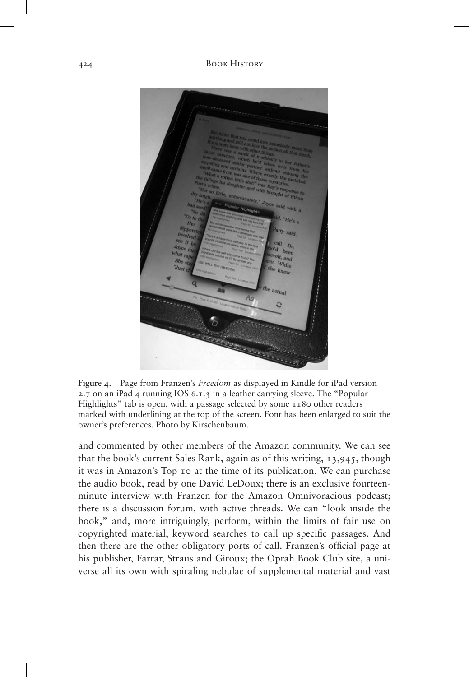

**Figure 4.** Page from Franzen's *Freedom* as displayed in Kindle for iPad version 2.7 on an iPad 4 running IOS 6.1.3 in a leather carrying sleeve. The "Popular Highlights" tab is open, with a passage selected by some 1180 other readers marked with underlining at the top of the screen. Font has been enlarged to suit the owner's preferences. Photo by Kirschenbaum.

and commented by other members of the Amazon community. We can see that the book's current Sales Rank, again as of this writing, 13,945, though it was in Amazon's Top 10 at the time of its publication. We can purchase the audio book, read by one David LeDoux; there is an exclusive fourteenminute interview with Franzen for the Amazon Omnivoracious podcast; there is a discussion forum, with active threads. We can "look inside the book," and, more intriguingly, perform, within the limits of fair use on copyrighted material, keyword searches to call up specific passages. And then there are the other obligatory ports of call. Franzen's official page at his publisher, Farrar, Straus and Giroux; the Oprah Book Club site, a universe all its own with spiraling nebulae of supplemental material and vast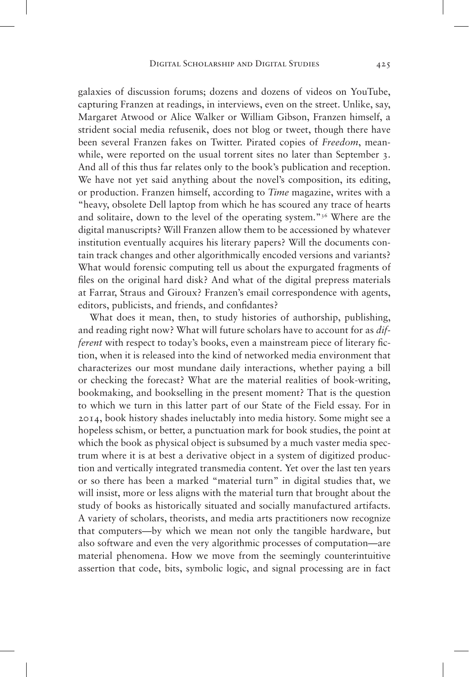galaxies of discussion forums; dozens and dozens of videos on YouTube, capturing Franzen at readings, in interviews, even on the street. Unlike, say, Margaret Atwood or Alice Walker or William Gibson, Franzen himself, a strident social media refusenik, does not blog or tweet, though there have been several Franzen fakes on Twitter. Pirated copies of *Freedom*, meanwhile, were reported on the usual torrent sites no later than September 3. And all of this thus far relates only to the book's publication and reception. We have not yet said anything about the novel's composition, its editing, or production. Franzen himself, according to *Time* magazine, writes with a "heavy, obsolete Dell laptop from which he has scoured any trace of hearts and solitaire, down to the level of the operating system."36 Where are the digital manuscripts? Will Franzen allow them to be accessioned by whatever institution eventually acquires his literary papers? Will the documents contain track changes and other algorithmically encoded versions and variants? What would forensic computing tell us about the expurgated fragments of files on the original hard disk? And what of the digital prepress materials at Farrar, Straus and Giroux? Franzen's email correspondence with agents, editors, publicists, and friends, and confidantes?

What does it mean, then, to study histories of authorship, publishing, and reading right now? What will future scholars have to account for as *different* with respect to today's books, even a mainstream piece of literary fiction, when it is released into the kind of networked media environment that characterizes our most mundane daily interactions, whether paying a bill or checking the forecast? What are the material realities of book-writing, bookmaking, and bookselling in the present moment? That is the question to which we turn in this latter part of our State of the Field essay. For in 2014, book history shades ineluctably into media history. Some might see a hopeless schism, or better, a punctuation mark for book studies, the point at which the book as physical object is subsumed by a much vaster media spectrum where it is at best a derivative object in a system of digitized production and vertically integrated transmedia content. Yet over the last ten years or so there has been a marked "material turn" in digital studies that, we will insist, more or less aligns with the material turn that brought about the study of books as historically situated and socially manufactured artifacts. A variety of scholars, theorists, and media arts practitioners now recognize that computers—by which we mean not only the tangible hardware, but also software and even the very algorithmic processes of computation—are material phenomena. How we move from the seemingly counterintuitive assertion that code, bits, symbolic logic, and signal processing are in fact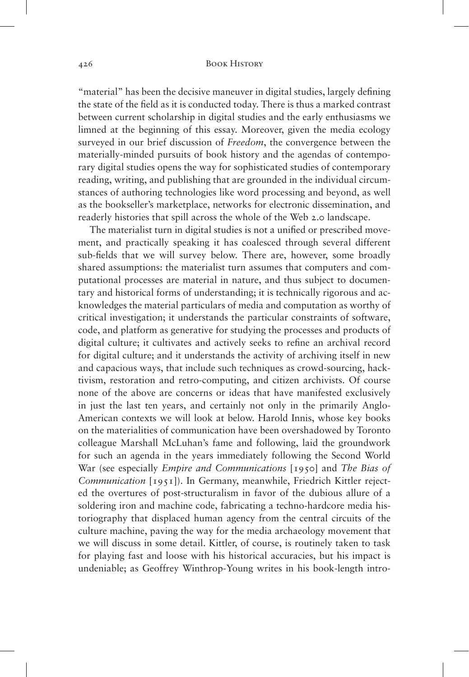"material" has been the decisive maneuver in digital studies, largely defining the state of the field as it is conducted today. There is thus a marked contrast between current scholarship in digital studies and the early enthusiasms we limned at the beginning of this essay. Moreover, given the media ecology surveyed in our brief discussion of *Freedom*, the convergence between the materially-minded pursuits of book history and the agendas of contemporary digital studies opens the way for sophisticated studies of contemporary reading, writing, and publishing that are grounded in the individual circumstances of authoring technologies like word processing and beyond, as well as the bookseller's marketplace, networks for electronic dissemination, and readerly histories that spill across the whole of the Web 2.0 landscape.

The materialist turn in digital studies is not a unified or prescribed movement, and practically speaking it has coalesced through several different sub-fields that we will survey below. There are, however, some broadly shared assumptions: the materialist turn assumes that computers and computational processes are material in nature, and thus subject to documentary and historical forms of understanding; it is technically rigorous and acknowledges the material particulars of media and computation as worthy of critical investigation; it understands the particular constraints of software, code, and platform as generative for studying the processes and products of digital culture; it cultivates and actively seeks to refine an archival record for digital culture; and it understands the activity of archiving itself in new and capacious ways, that include such techniques as crowd-sourcing, hacktivism, restoration and retro-computing, and citizen archivists. Of course none of the above are concerns or ideas that have manifested exclusively in just the last ten years, and certainly not only in the primarily Anglo-American contexts we will look at below. Harold Innis, whose key books on the materialities of communication have been overshadowed by Toronto colleague Marshall McLuhan's fame and following, laid the groundwork for such an agenda in the years immediately following the Second World War (see especially *Empire and Communications* [1950] and *The Bias of Communication* [1951]). In Germany, meanwhile, Friedrich Kittler rejected the overtures of post-structuralism in favor of the dubious allure of a soldering iron and machine code, fabricating a techno-hardcore media historiography that displaced human agency from the central circuits of the culture machine, paving the way for the media archaeology movement that we will discuss in some detail. Kittler, of course, is routinely taken to task for playing fast and loose with his historical accuracies, but his impact is undeniable; as Geoffrey Winthrop-Young writes in his book-length intro-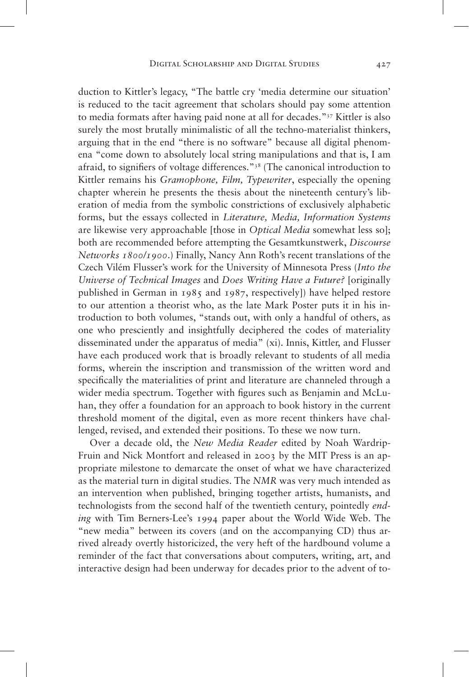duction to Kittler's legacy, "The battle cry 'media determine our situation' is reduced to the tacit agreement that scholars should pay some attention to media formats after having paid none at all for decades."37 Kittler is also surely the most brutally minimalistic of all the techno-materialist thinkers, arguing that in the end "there is no software" because all digital phenomena "come down to absolutely local string manipulations and that is, I am afraid, to signifiers of voltage differences."38 (The canonical introduction to Kittler remains his *Gramophone, Film, Typewriter*, especially the opening chapter wherein he presents the thesis about the nineteenth century's liberation of media from the symbolic constrictions of exclusively alphabetic forms, but the essays collected in *Literature, Media, Information Systems* are likewise very approachable [those in *Optical Media* somewhat less so]; both are recommended before attempting the Gesamtkunstwerk, *Discourse Networks 1800/1900*.) Finally, Nancy Ann Roth's recent translations of the Czech Vilém Flusser's work for the University of Minnesota Press (*Into the Universe of Technical Images* and *Does Writing Have a Future?* [originally published in German in 1985 and 1987, respectively]) have helped restore to our attention a theorist who, as the late Mark Poster puts it in his introduction to both volumes, "stands out, with only a handful of others, as one who presciently and insightfully deciphered the codes of materiality disseminated under the apparatus of media" (xi). Innis, Kittler, and Flusser have each produced work that is broadly relevant to students of all media forms, wherein the inscription and transmission of the written word and specifically the materialities of print and literature are channeled through a wider media spectrum. Together with figures such as Benjamin and McLuhan, they offer a foundation for an approach to book history in the current threshold moment of the digital, even as more recent thinkers have challenged, revised, and extended their positions. To these we now turn.

Over a decade old, the *New Media Reader* edited by Noah Wardrip-Fruin and Nick Montfort and released in 2003 by the MIT Press is an appropriate milestone to demarcate the onset of what we have characterized as the material turn in digital studies. The *NMR* was very much intended as an intervention when published, bringing together artists, humanists, and technologists from the second half of the twentieth century, pointedly *ending* with Tim Berners-Lee's 1994 paper about the World Wide Web. The "new media" between its covers (and on the accompanying CD) thus arrived already overtly historicized, the very heft of the hardbound volume a reminder of the fact that conversations about computers, writing, art, and interactive design had been underway for decades prior to the advent of to-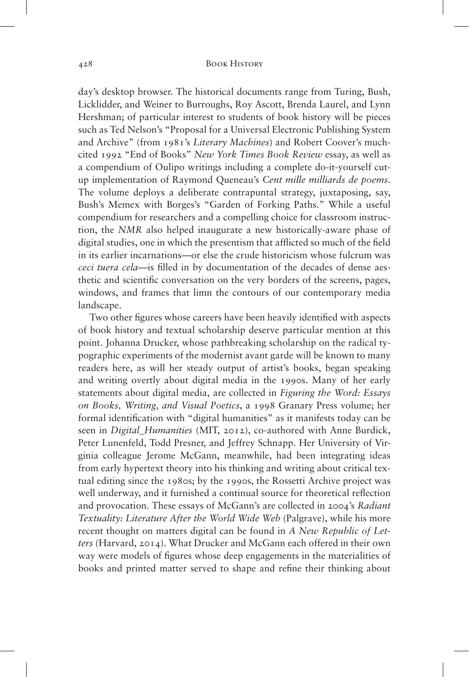day's desktop browser. The historical documents range from Turing, Bush, Licklidder, and Weiner to Burroughs, Roy Ascott, Brenda Laurel, and Lynn Hershman; of particular interest to students of book history will be pieces such as Ted Nelson's "Proposal for a Universal Electronic Publishing System and Archive" (from 1981's *Literary Machines*) and Robert Coover's muchcited 1992 "End of Books" *New York Times Book Review* essay, as well as a compendium of Oulipo writings including a complete do-it-yourself cutup implementation of Raymond Queneau's *Cent mille milliards de poems*. The volume deploys a deliberate contrapuntal strategy, juxtaposing, say, Bush's Memex with Borges's "Garden of Forking Paths." While a useful compendium for researchers and a compelling choice for classroom instruction, the *NMR* also helped inaugurate a new historically-aware phase of digital studies, one in which the presentism that afflicted so much of the field in its earlier incarnations—or else the crude historicism whose fulcrum was *ceci tuera cela*—is filled in by documentation of the decades of dense aesthetic and scientific conversation on the very borders of the screens, pages, windows, and frames that limn the contours of our contemporary media landscape.

Two other figures whose careers have been heavily identified with aspects of book history and textual scholarship deserve particular mention at this point. Johanna Drucker, whose pathbreaking scholarship on the radical typographic experiments of the modernist avant garde will be known to many readers here, as will her steady output of artist's books, began speaking and writing overtly about digital media in the 1990s. Many of her early statements about digital media, are collected in *Figuring the Word: Essays on Books, Writing, and Visual Poetics*, a 1998 Granary Press volume; her formal identification with "digital humanities" as it manifests today can be seen in *Digital\_Humanities* (MIT, 2012), co-authored with Anne Burdick, Peter Lunenfeld, Todd Presner, and Jeffrey Schnapp. Her University of Virginia colleague Jerome McGann, meanwhile, had been integrating ideas from early hypertext theory into his thinking and writing about critical textual editing since the 1980s; by the 1990s, the Rossetti Archive project was well underway, and it furnished a continual source for theoretical reflection and provocation. These essays of McGann's are collected in 2004's *Radiant Textuality: Literature After the World Wide Web* (Palgrave), while his more recent thought on matters digital can be found in *A New Republic of Letters* (Harvard, 2014). What Drucker and McGann each offered in their own way were models of figures whose deep engagements in the materialities of books and printed matter served to shape and refine their thinking about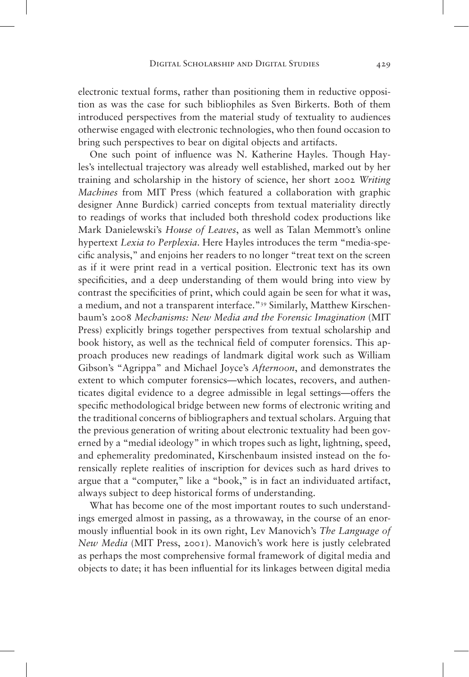electronic textual forms, rather than positioning them in reductive opposition as was the case for such bibliophiles as Sven Birkerts. Both of them introduced perspectives from the material study of textuality to audiences otherwise engaged with electronic technologies, who then found occasion to bring such perspectives to bear on digital objects and artifacts.

One such point of influence was N. Katherine Hayles. Though Hayles's intellectual trajectory was already well established, marked out by her training and scholarship in the history of science, her short 2002 *Writing Machines* from MIT Press (which featured a collaboration with graphic designer Anne Burdick) carried concepts from textual materiality directly to readings of works that included both threshold codex productions like Mark Danielewski's *House of Leaves*, as well as Talan Memmott's online hypertext *Lexia to Perplexia*. Here Hayles introduces the term "media-specific analysis," and enjoins her readers to no longer "treat text on the screen as if it were print read in a vertical position. Electronic text has its own specificities, and a deep understanding of them would bring into view by contrast the specificities of print, which could again be seen for what it was, a medium, and not a transparent interface."39 Similarly, Matthew Kirschenbaum's 2008 *Mechanisms: New Media and the Forensic Imagination* (MIT Press) explicitly brings together perspectives from textual scholarship and book history, as well as the technical field of computer forensics. This approach produces new readings of landmark digital work such as William Gibson's "Agrippa" and Michael Joyce's *Afternoon*, and demonstrates the extent to which computer forensics—which locates, recovers, and authenticates digital evidence to a degree admissible in legal settings—offers the specific methodological bridge between new forms of electronic writing and the traditional concerns of bibliographers and textual scholars. Arguing that the previous generation of writing about electronic textuality had been governed by a "medial ideology" in which tropes such as light, lightning, speed, and ephemerality predominated, Kirschenbaum insisted instead on the forensically replete realities of inscription for devices such as hard drives to argue that a "computer," like a "book," is in fact an individuated artifact, always subject to deep historical forms of understanding.

What has become one of the most important routes to such understandings emerged almost in passing, as a throwaway, in the course of an enormously influential book in its own right, Lev Manovich's *The Language of New Media* (MIT Press, 2001). Manovich's work here is justly celebrated as perhaps the most comprehensive formal framework of digital media and objects to date; it has been influential for its linkages between digital media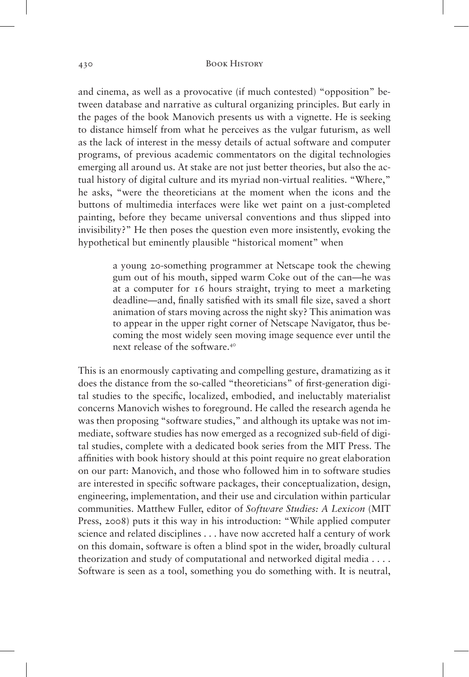and cinema, as well as a provocative (if much contested) "opposition" between database and narrative as cultural organizing principles. But early in the pages of the book Manovich presents us with a vignette. He is seeking to distance himself from what he perceives as the vulgar futurism, as well as the lack of interest in the messy details of actual software and computer programs, of previous academic commentators on the digital technologies emerging all around us. At stake are not just better theories, but also the actual history of digital culture and its myriad non-virtual realities. "Where," he asks, "were the theoreticians at the moment when the icons and the buttons of multimedia interfaces were like wet paint on a just-completed painting, before they became universal conventions and thus slipped into invisibility?" He then poses the question even more insistently, evoking the hypothetical but eminently plausible "historical moment" when

> a young 20-something programmer at Netscape took the chewing gum out of his mouth, sipped warm Coke out of the can—he was at a computer for 16 hours straight, trying to meet a marketing deadline—and, finally satisfied with its small file size, saved a short animation of stars moving across the night sky? This animation was to appear in the upper right corner of Netscape Navigator, thus becoming the most widely seen moving image sequence ever until the next release of the software.<sup>40</sup>

This is an enormously captivating and compelling gesture, dramatizing as it does the distance from the so-called "theoreticians" of first-generation digital studies to the specific, localized, embodied, and ineluctably materialist concerns Manovich wishes to foreground. He called the research agenda he was then proposing "software studies," and although its uptake was not immediate, software studies has now emerged as a recognized sub-field of digital studies, complete with a dedicated book series from the MIT Press. The affinities with book history should at this point require no great elaboration on our part: Manovich, and those who followed him in to software studies are interested in specific software packages, their conceptualization, design, engineering, implementation, and their use and circulation within particular communities. Matthew Fuller, editor of *Software Studies: A Lexicon* (MIT Press, 2008) puts it this way in his introduction: "While applied computer science and related disciplines . . . have now accreted half a century of work on this domain, software is often a blind spot in the wider, broadly cultural theorization and study of computational and networked digital media . . . . Software is seen as a tool, something you do something with. It is neutral,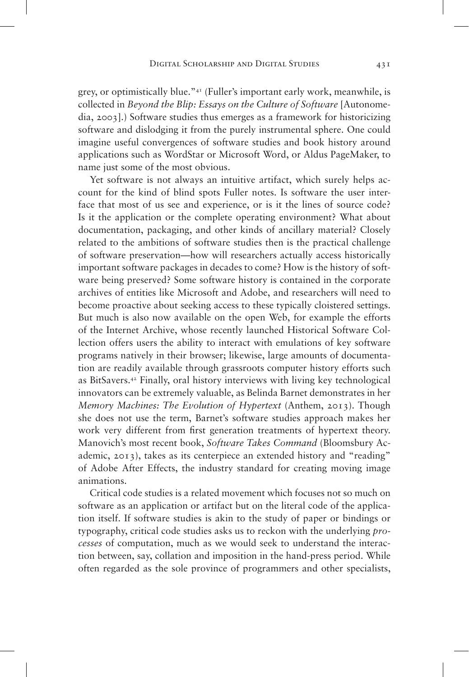grey, or optimistically blue."41 (Fuller's important early work, meanwhile, is collected in *Beyond the Blip: Essays on the Culture of Software* [Autonomedia, 2003].) Software studies thus emerges as a framework for historicizing software and dislodging it from the purely instrumental sphere. One could imagine useful convergences of software studies and book history around applications such as WordStar or Microsoft Word, or Aldus PageMaker, to name just some of the most obvious.

Yet software is not always an intuitive artifact, which surely helps account for the kind of blind spots Fuller notes. Is software the user interface that most of us see and experience, or is it the lines of source code? Is it the application or the complete operating environment? What about documentation, packaging, and other kinds of ancillary material? Closely related to the ambitions of software studies then is the practical challenge of software preservation—how will researchers actually access historically important software packages in decades to come? How is the history of software being preserved? Some software history is contained in the corporate archives of entities like Microsoft and Adobe, and researchers will need to become proactive about seeking access to these typically cloistered settings. But much is also now available on the open Web, for example the efforts of the Internet Archive, whose recently launched Historical Software Collection offers users the ability to interact with emulations of key software programs natively in their browser; likewise, large amounts of documentation are readily available through grassroots computer history efforts such as BitSavers.42 Finally, oral history interviews with living key technological innovators can be extremely valuable, as Belinda Barnet demonstrates in her *Memory Machines: The Evolution of Hypertext* (Anthem, 2013). Though she does not use the term, Barnet's software studies approach makes her work very different from first generation treatments of hypertext theory. Manovich's most recent book, *Software Takes Command* (Bloomsbury Academic, 2013), takes as its centerpiece an extended history and "reading" of Adobe After Effects, the industry standard for creating moving image animations.

Critical code studies is a related movement which focuses not so much on software as an application or artifact but on the literal code of the application itself. If software studies is akin to the study of paper or bindings or typography, critical code studies asks us to reckon with the underlying *processes* of computation, much as we would seek to understand the interaction between, say, collation and imposition in the hand-press period. While often regarded as the sole province of programmers and other specialists,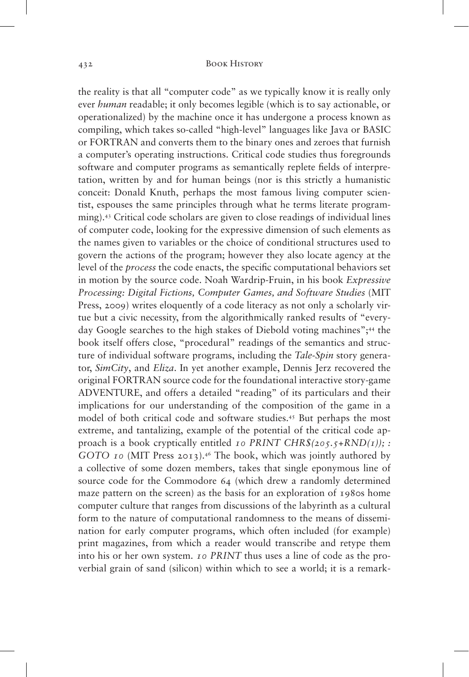the reality is that all "computer code" as we typically know it is really only ever *human* readable; it only becomes legible (which is to say actionable, or operationalized) by the machine once it has undergone a process known as compiling, which takes so-called "high-level" languages like Java or BASIC or FORTRAN and converts them to the binary ones and zeroes that furnish a computer's operating instructions. Critical code studies thus foregrounds software and computer programs as semantically replete fields of interpretation, written by and for human beings (nor is this strictly a humanistic conceit: Donald Knuth, perhaps the most famous living computer scientist, espouses the same principles through what he terms literate programming).43 Critical code scholars are given to close readings of individual lines of computer code, looking for the expressive dimension of such elements as the names given to variables or the choice of conditional structures used to govern the actions of the program; however they also locate agency at the level of the *process* the code enacts, the specific computational behaviors set in motion by the source code. Noah Wardrip-Fruin, in his book *Expressive Processing: Digital Fictions, Computer Games, and Software Studies* (MIT Press, 2009) writes eloquently of a code literacy as not only a scholarly virtue but a civic necessity, from the algorithmically ranked results of "everyday Google searches to the high stakes of Diebold voting machines";<sup>44</sup> the book itself offers close, "procedural" readings of the semantics and structure of individual software programs, including the *Tale-Spin* story generator, *SimCity*, and *Eliza*. In yet another example, Dennis Jerz recovered the original FORTRAN source code for the foundational interactive story-game ADVENTURE, and offers a detailed "reading" of its particulars and their implications for our understanding of the composition of the game in a model of both critical code and software studies.45 But perhaps the most extreme, and tantalizing, example of the potential of the critical code approach is a book cryptically entitled *10 PRINT CHR\$(205.5+RND(1)); : GOTO 10* (MIT Press 2013).46 The book, which was jointly authored by a collective of some dozen members, takes that single eponymous line of source code for the Commodore 64 (which drew a randomly determined maze pattern on the screen) as the basis for an exploration of 1980s home computer culture that ranges from discussions of the labyrinth as a cultural form to the nature of computational randomness to the means of dissemination for early computer programs, which often included (for example) print magazines, from which a reader would transcribe and retype them into his or her own system. *10 PRINT* thus uses a line of code as the proverbial grain of sand (silicon) within which to see a world; it is a remark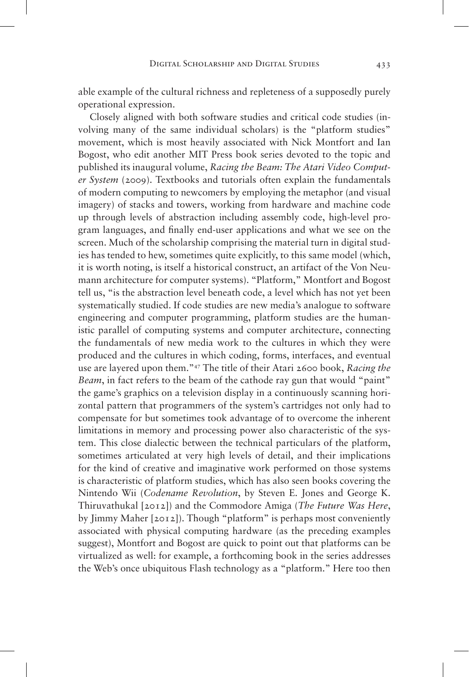able example of the cultural richness and repleteness of a supposedly purely operational expression.

Closely aligned with both software studies and critical code studies (involving many of the same individual scholars) is the "platform studies" movement, which is most heavily associated with Nick Montfort and Ian Bogost, who edit another MIT Press book series devoted to the topic and published its inaugural volume, *Racing the Beam: The Atari Video Computer System* (2009). Textbooks and tutorials often explain the fundamentals of modern computing to newcomers by employing the metaphor (and visual imagery) of stacks and towers, working from hardware and machine code up through levels of abstraction including assembly code, high-level program languages, and finally end-user applications and what we see on the screen. Much of the scholarship comprising the material turn in digital studies has tended to hew, sometimes quite explicitly, to this same model (which, it is worth noting, is itself a historical construct, an artifact of the Von Neumann architecture for computer systems). "Platform," Montfort and Bogost tell us, "is the abstraction level beneath code, a level which has not yet been systematically studied. If code studies are new media's analogue to software engineering and computer programming, platform studies are the humanistic parallel of computing systems and computer architecture, connecting the fundamentals of new media work to the cultures in which they were produced and the cultures in which coding, forms, interfaces, and eventual use are layered upon them."47 The title of their Atari 2600 book, *Racing the Beam*, in fact refers to the beam of the cathode ray gun that would "paint" the game's graphics on a television display in a continuously scanning horizontal pattern that programmers of the system's cartridges not only had to compensate for but sometimes took advantage of to overcome the inherent limitations in memory and processing power also characteristic of the system. This close dialectic between the technical particulars of the platform, sometimes articulated at very high levels of detail, and their implications for the kind of creative and imaginative work performed on those systems is characteristic of platform studies, which has also seen books covering the Nintendo Wii (*Codename Revolution*, by Steven E. Jones and George K. Thiruvathukal [2012]) and the Commodore Amiga (*The Future Was Here*, by Jimmy Maher [2012]). Though "platform" is perhaps most conveniently associated with physical computing hardware (as the preceding examples suggest), Montfort and Bogost are quick to point out that platforms can be virtualized as well: for example, a forthcoming book in the series addresses the Web's once ubiquitous Flash technology as a "platform." Here too then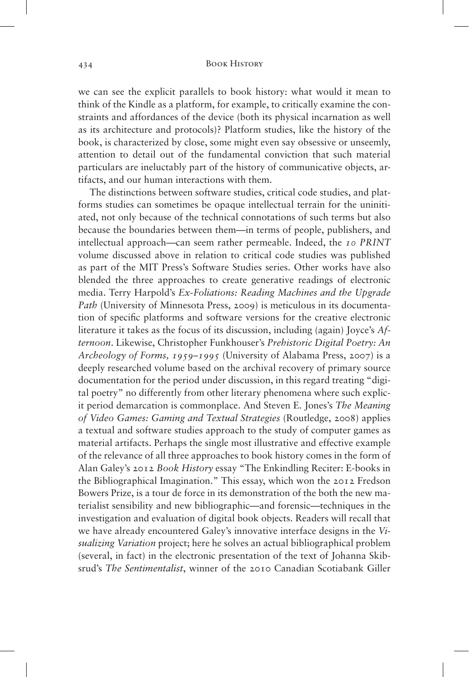we can see the explicit parallels to book history: what would it mean to think of the Kindle as a platform, for example, to critically examine the constraints and affordances of the device (both its physical incarnation as well as its architecture and protocols)? Platform studies, like the history of the book, is characterized by close, some might even say obsessive or unseemly, attention to detail out of the fundamental conviction that such material particulars are ineluctably part of the history of communicative objects, artifacts, and our human interactions with them.

The distinctions between software studies, critical code studies, and platforms studies can sometimes be opaque intellectual terrain for the uninitiated, not only because of the technical connotations of such terms but also because the boundaries between them—in terms of people, publishers, and intellectual approach—can seem rather permeable. Indeed, the *10 PRINT* volume discussed above in relation to critical code studies was published as part of the MIT Press's Software Studies series. Other works have also blended the three approaches to create generative readings of electronic media. Terry Harpold's *Ex-Foliations: Reading Machines and the Upgrade Path* (University of Minnesota Press, 2009) is meticulous in its documentation of specific platforms and software versions for the creative electronic literature it takes as the focus of its discussion, including (again) Joyce's *Afternoon*. Likewise, Christopher Funkhouser's *Prehistoric Digital Poetry: An Archeology of Forms, 1959–1995* (University of Alabama Press, 2007) is a deeply researched volume based on the archival recovery of primary source documentation for the period under discussion, in this regard treating "digital poetry" no differently from other literary phenomena where such explicit period demarcation is commonplace. And Steven E. Jones's *The Meaning of Video Games: Gaming and Textual Strategies* (Routledge, 2008) applies a textual and software studies approach to the study of computer games as material artifacts. Perhaps the single most illustrative and effective example of the relevance of all three approaches to book history comes in the form of Alan Galey's 2012 *Book History* essay "The Enkindling Reciter: E-books in the Bibliographical Imagination." This essay, which won the 2012 Fredson Bowers Prize, is a tour de force in its demonstration of the both the new materialist sensibility and new bibliographic—and forensic—techniques in the investigation and evaluation of digital book objects. Readers will recall that we have already encountered Galey's innovative interface designs in the *Visualizing Variation* project; here he solves an actual bibliographical problem (several, in fact) in the electronic presentation of the text of Johanna Skibsrud's *The Sentimentalist*, winner of the 2010 Canadian Scotiabank Giller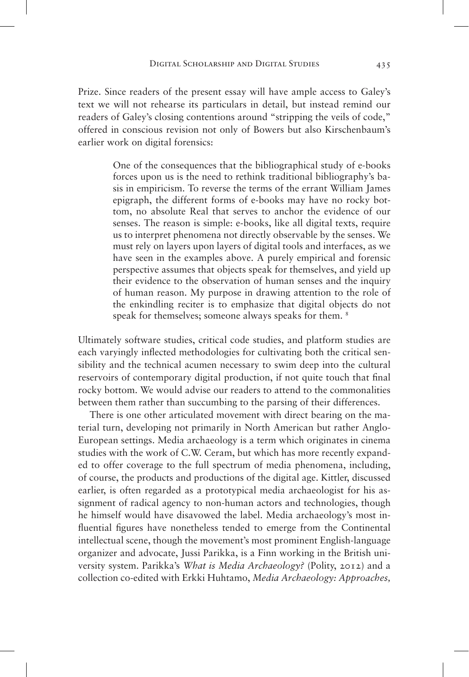Prize. Since readers of the present essay will have ample access to Galey's text we will not rehearse its particulars in detail, but instead remind our readers of Galey's closing contentions around "stripping the veils of code," offered in conscious revision not only of Bowers but also Kirschenbaum's earlier work on digital forensics:

> One of the consequences that the bibliographical study of e-books forces upon us is the need to rethink traditional bibliography's basis in empiricism. To reverse the terms of the errant William James epigraph, the different forms of e-books may have no rocky bottom, no absolute Real that serves to anchor the evidence of our senses. The reason is simple: e-books, like all digital texts, require us to interpret phenomena not directly observable by the senses. We must rely on layers upon layers of digital tools and interfaces, as we have seen in the examples above. A purely empirical and forensic perspective assumes that objects speak for themselves, and yield up their evidence to the observation of human senses and the inquiry of human reason. My purpose in drawing attention to the role of the enkindling reciter is to emphasize that digital objects do not speak for themselves; someone always speaks for them. <sup>8</sup>

Ultimately software studies, critical code studies, and platform studies are each varyingly inflected methodologies for cultivating both the critical sensibility and the technical acumen necessary to swim deep into the cultural reservoirs of contemporary digital production, if not quite touch that final rocky bottom. We would advise our readers to attend to the commonalities between them rather than succumbing to the parsing of their differences.

There is one other articulated movement with direct bearing on the material turn, developing not primarily in North American but rather Anglo-European settings. Media archaeology is a term which originates in cinema studies with the work of C.W. Ceram, but which has more recently expanded to offer coverage to the full spectrum of media phenomena, including, of course, the products and productions of the digital age. Kittler, discussed earlier, is often regarded as a prototypical media archaeologist for his assignment of radical agency to non-human actors and technologies, though he himself would have disavowed the label. Media archaeology's most influential figures have nonetheless tended to emerge from the Continental intellectual scene, though the movement's most prominent English-language organizer and advocate, Jussi Parikka, is a Finn working in the British university system. Parikka's *What is Media Archaeology?* (Polity, 2012) and a collection co-edited with Erkki Huhtamo, *Media Archaeology: Approaches,*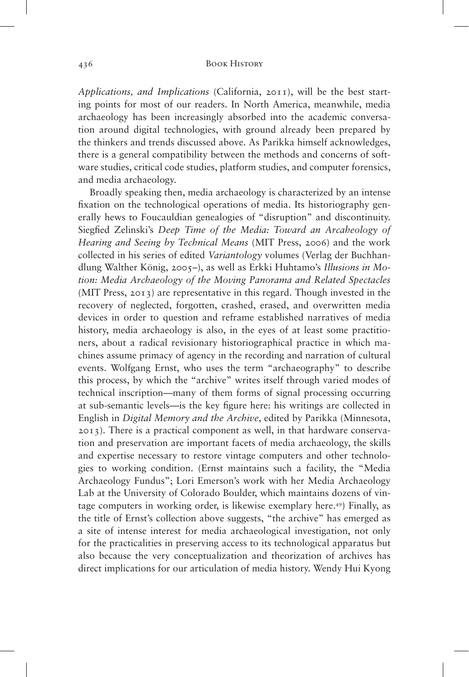*Applications, and Implications* (California, 2011), will be the best starting points for most of our readers. In North America, meanwhile, media archaeology has been increasingly absorbed into the academic conversation around digital technologies, with ground already been prepared by the thinkers and trends discussed above. As Parikka himself acknowledges, there is a general compatibility between the methods and concerns of software studies, critical code studies, platform studies, and computer forensics, and media archaeology.

Broadly speaking then, media archaeology is characterized by an intense fixation on the technological operations of media. Its historiography generally hews to Foucauldian genealogies of "disruption" and discontinuity. Siegfied Zelinski's *Deep Time of the Media: Toward an Arcaheology of Hearing and Seeing by Technical Means* (MIT Press, 2006) and the work collected in his series of edited *Variantology* volumes (Verlag der Buchhandlung Walther König, 2005–), as well as Erkki Huhtamo's *Illusions in Motion: Media Archaeology of the Moving Panorama and Related Spectacles* (MIT Press, 2013) are representative in this regard. Though invested in the recovery of neglected, forgotten, crashed, erased, and overwritten media devices in order to question and reframe established narratives of media history, media archaeology is also, in the eyes of at least some practitioners, about a radical revisionary historiographical practice in which machines assume primacy of agency in the recording and narration of cultural events. Wolfgang Ernst, who uses the term "archaeography" to describe this process, by which the "archive" writes itself through varied modes of technical inscription—many of them forms of signal processing occurring at sub-semantic levels—is the key figure here: his writings are collected in English in *Digital Memory and the Archive*, edited by Parikka (Minnesota, 2013). There is a practical component as well, in that hardware conservation and preservation are important facets of media archaeology, the skills and expertise necessary to restore vintage computers and other technologies to working condition. (Ernst maintains such a facility, the "Media Archaeology Fundus"; Lori Emerson's work with her Media Archaeology Lab at the University of Colorado Boulder, which maintains dozens of vintage computers in working order, is likewise exemplary here.49) Finally, as the title of Ernst's collection above suggests, "the archive" has emerged as a site of intense interest for media archaeological investigation, not only for the practicalities in preserving access to its technological apparatus but also because the very conceptualization and theorization of archives has direct implications for our articulation of media history. Wendy Hui Kyong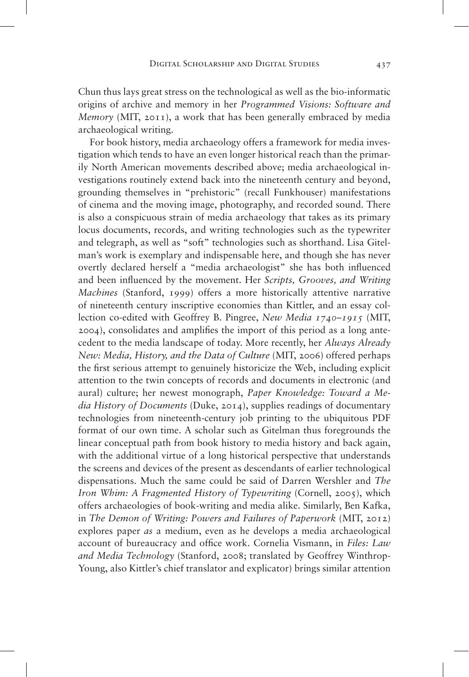Chun thus lays great stress on the technological as well as the bio-informatic origins of archive and memory in her *Programmed Visions: Software and Memory* (MIT, 2011), a work that has been generally embraced by media archaeological writing.

For book history, media archaeology offers a framework for media investigation which tends to have an even longer historical reach than the primarily North American movements described above; media archaeological investigations routinely extend back into the nineteenth century and beyond, grounding themselves in "prehistoric" (recall Funkhouser) manifestations of cinema and the moving image, photography, and recorded sound. There is also a conspicuous strain of media archaeology that takes as its primary locus documents, records, and writing technologies such as the typewriter and telegraph, as well as "soft" technologies such as shorthand. Lisa Gitelman's work is exemplary and indispensable here, and though she has never overtly declared herself a "media archaeologist" she has both influenced and been influenced by the movement. Her *Scripts, Grooves, and Writing Machines* (Stanford, 1999) offers a more historically attentive narrative of nineteenth century inscriptive economies than Kittler, and an essay collection co-edited with Geoffrey B. Pingree, *New Media 1740–1915* (MIT, 2004), consolidates and amplifies the import of this period as a long antecedent to the media landscape of today. More recently, her *Always Already New: Media, History, and the Data of Culture* (MIT, 2006) offered perhaps the first serious attempt to genuinely historicize the Web, including explicit attention to the twin concepts of records and documents in electronic (and aural) culture; her newest monograph, *Paper Knowledge: Toward a Media History of Documents* (Duke, 2014), supplies readings of documentary technologies from nineteenth-century job printing to the ubiquitous PDF format of our own time. A scholar such as Gitelman thus foregrounds the linear conceptual path from book history to media history and back again, with the additional virtue of a long historical perspective that understands the screens and devices of the present as descendants of earlier technological dispensations. Much the same could be said of Darren Wershler and *The Iron Whim: A Fragmented History of Typewriting* (Cornell, 2005), which offers archaeologies of book-writing and media alike. Similarly, Ben Kafka, in *The Demon of Writing: Powers and Failures of Paperwork* (MIT, 2012) explores paper *as* a medium, even as he develops a media archaeological account of bureaucracy and office work. Cornelia Vismann, in *Files: Law and Media Technology* (Stanford, 2008; translated by Geoffrey Winthrop-Young, also Kittler's chief translator and explicator) brings similar attention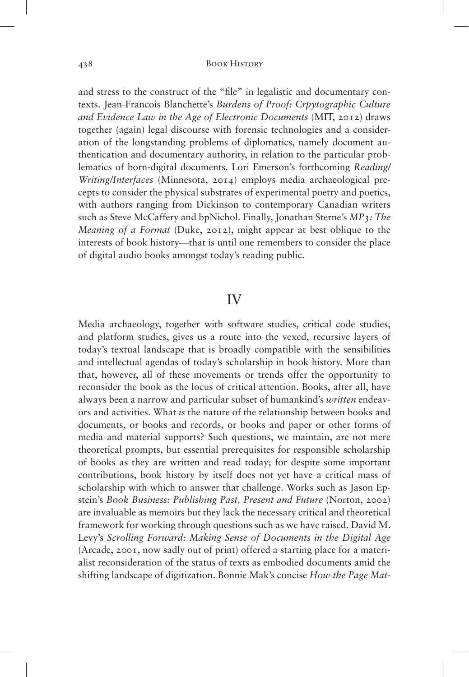and stress to the construct of the "file" in legalistic and documentary contexts. Jean-Francois Blanchette's *Burdens of Proof: Crpytographic Culture and Evidence Law in the Age of Electronic Documents* (MIT, 2012) draws together (again) legal discourse with forensic technologies and a consideration of the longstanding problems of diplomatics, namely document authentication and documentary authority, in relation to the particular problematics of born-digital documents. Lori Emerson's forthcoming *Reading/ Writing/Interfaces* (Minnesota, 2014) employs media archaeological precepts to consider the physical substrates of experimental poetry and poetics, with authors ranging from Dickinson to contemporary Canadian writers such as Steve McCaffery and bpNichol. Finally, Jonathan Sterne's *MP3: The Meaning of a Format* (Duke, 2012), might appear at best oblique to the interests of book history—that is until one remembers to consider the place of digital audio books amongst today's reading public.

## IV

Media archaeology, together with software studies, critical code studies, and platform studies, gives us a route into the vexed, recursive layers of today's textual landscape that is broadly compatible with the sensibilities and intellectual agendas of today's scholarship in book history. More than that, however, all of these movements or trends offer the opportunity to reconsider the book as the locus of critical attention. Books, after all, have always been a narrow and particular subset of humankind's *written* endeavors and activities. What *is* the nature of the relationship between books and documents, or books and records, or books and paper or other forms of media and material supports? Such questions, we maintain, are not mere theoretical prompts, but essential prerequisites for responsible scholarship of books as they are written and read today; for despite some important contributions, book history by itself does not yet have a critical mass of scholarship with which to answer that challenge. Works such as Jason Epstein's *Book Business: Publishing Past, Present and Future* (Norton, 2002) are invaluable as memoirs but they lack the necessary critical and theoretical framework for working through questions such as we have raised. David M. Levy's *Scrolling Forward: Making Sense of Documents in the Digital Age* (Arcade, 2001, now sadly out of print) offered a starting place for a materialist reconsideration of the status of texts as embodied documents amid the shifting landscape of digitization. Bonnie Mak's concise *How the Page Mat-*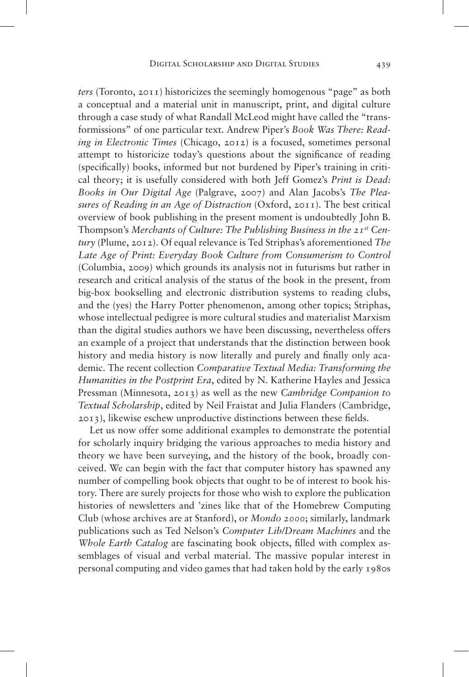*ters* (Toronto, 2011) historicizes the seemingly homogenous "page" as both a conceptual and a material unit in manuscript, print, and digital culture through a case study of what Randall McLeod might have called the "transformissions" of one particular text. Andrew Piper's *Book Was There: Reading in Electronic Times* (Chicago, 2012) is a focused, sometimes personal attempt to historicize today's questions about the significance of reading (specifically) books, informed but not burdened by Piper's training in critical theory; it is usefully considered with both Jeff Gomez's *Print is Dead: Books in Our Digital Age* (Palgrave, 2007) and Alan Jacobs's *The Pleasures of Reading in an Age of Distraction* (Oxford, 2011). The best critical overview of book publishing in the present moment is undoubtedly John B. Thompson's *Merchants of Culture: The Publishing Business in the 21st Century* (Plume, 2012). Of equal relevance is Ted Striphas's aforementioned *The Late Age of Print: Everyday Book Culture from Consumerism to Control* (Columbia, 2009) which grounds its analysis not in futurisms but rather in research and critical analysis of the status of the book in the present, from big-box bookselling and electronic distribution systems to reading clubs, and the (yes) the Harry Potter phenomenon, among other topics; Striphas, whose intellectual pedigree is more cultural studies and materialist Marxism than the digital studies authors we have been discussing, nevertheless offers an example of a project that understands that the distinction between book history and media history is now literally and purely and finally only academic. The recent collection *Comparative Textual Media: Transforming the Humanities in the Postprint Era*, edited by N. Katherine Hayles and Jessica Pressman (Minnesota, 2013) as well as the new *Cambridge Companion to Textual Scholarship*, edited by Neil Fraistat and Julia Flanders (Cambridge, 2013), likewise eschew unproductive distinctions between these fields.

Let us now offer some additional examples to demonstrate the potential for scholarly inquiry bridging the various approaches to media history and theory we have been surveying, and the history of the book, broadly conceived. We can begin with the fact that computer history has spawned any number of compelling book objects that ought to be of interest to book history. There are surely projects for those who wish to explore the publication histories of newsletters and 'zines like that of the Homebrew Computing Club (whose archives are at Stanford), or *Mondo 2000*; similarly, landmark publications such as Ted Nelson's *Computer Lib/Dream Machines* and the *Whole Earth Catalog* are fascinating book objects, filled with complex assemblages of visual and verbal material. The massive popular interest in personal computing and video games that had taken hold by the early 1980s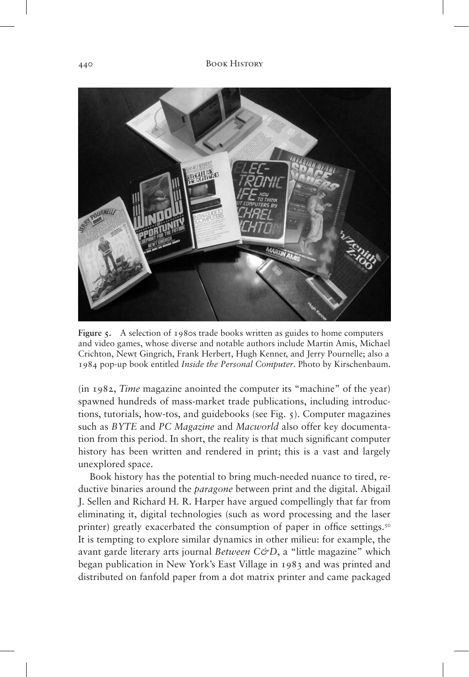

**Figure 5.** A selection of 1980s trade books written as guides to home computers and video games, whose diverse and notable authors include Martin Amis, Michael Crichton, Newt Gingrich, Frank Herbert, Hugh Kenner, and Jerry Pournelle; also a 1984 pop-up book entitled *Inside the Personal Computer*. Photo by Kirschenbaum.

(in 1982, *Time* magazine anointed the computer its "machine" of the year) spawned hundreds of mass-market trade publications, including introductions, tutorials, how-tos, and guidebooks (see Fig. 5). Computer magazines such as *BYTE* and *PC Magazine* and *Macworld* also offer key documentation from this period. In short, the reality is that much significant computer history has been written and rendered in print; this is a vast and largely unexplored space.

Book history has the potential to bring much-needed nuance to tired, reductive binaries around the *paragone* between print and the digital. Abigail J. Sellen and Richard H. R. Harper have argued compellingly that far from eliminating it, digital technologies (such as word processing and the laser printer) greatly exacerbated the consumption of paper in office settings.<sup>50</sup> It is tempting to explore similar dynamics in other milieu: for example, the avant garde literary arts journal *Between C&D*, a "little magazine" which began publication in New York's East Village in 1983 and was printed and distributed on fanfold paper from a dot matrix printer and came packaged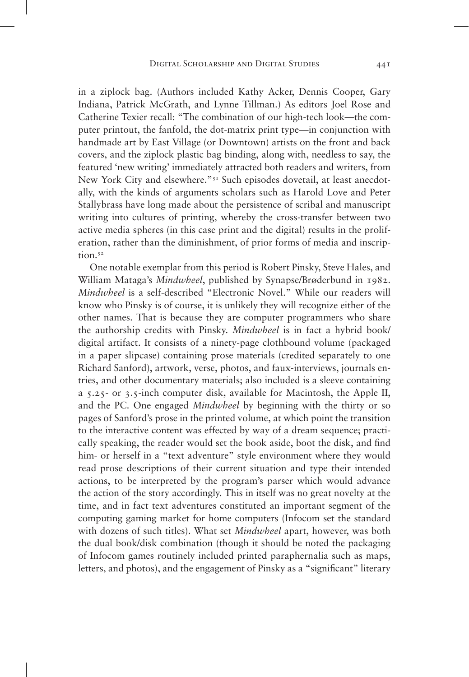in a ziplock bag. (Authors included Kathy Acker, Dennis Cooper, Gary Indiana, Patrick McGrath, and Lynne Tillman.) As editors Joel Rose and Catherine Texier recall: "The combination of our high-tech look—the computer printout, the fanfold, the dot-matrix print type—in conjunction with handmade art by East Village (or Downtown) artists on the front and back covers, and the ziplock plastic bag binding, along with, needless to say, the featured 'new writing' immediately attracted both readers and writers, from New York City and elsewhere."<sup>51</sup> Such episodes dovetail, at least anecdotally, with the kinds of arguments scholars such as Harold Love and Peter Stallybrass have long made about the persistence of scribal and manuscript writing into cultures of printing, whereby the cross-transfer between two active media spheres (in this case print and the digital) results in the proliferation, rather than the diminishment, of prior forms of media and inscription.<sup>52</sup>

One notable exemplar from this period is Robert Pinsky, Steve Hales, and William Mataga's *Mindwheel*, published by Synapse/Brøderbund in 1982. *Mindwheel* is a self-described "Electronic Novel." While our readers will know who Pinsky is of course, it is unlikely they will recognize either of the other names. That is because they are computer programmers who share the authorship credits with Pinsky. *Mindwheel* is in fact a hybrid book/ digital artifact. It consists of a ninety-page clothbound volume (packaged in a paper slipcase) containing prose materials (credited separately to one Richard Sanford), artwork, verse, photos, and faux-interviews, journals entries, and other documentary materials; also included is a sleeve containing a 5.25- or 3.5-inch computer disk, available for Macintosh, the Apple II, and the PC. One engaged *Mindwheel* by beginning with the thirty or so pages of Sanford's prose in the printed volume, at which point the transition to the interactive content was effected by way of a dream sequence; practically speaking, the reader would set the book aside, boot the disk, and find him- or herself in a "text adventure" style environment where they would read prose descriptions of their current situation and type their intended actions, to be interpreted by the program's parser which would advance the action of the story accordingly. This in itself was no great novelty at the time, and in fact text adventures constituted an important segment of the computing gaming market for home computers (Infocom set the standard with dozens of such titles). What set *Mindwheel* apart, however, was both the dual book/disk combination (though it should be noted the packaging of Infocom games routinely included printed paraphernalia such as maps, letters, and photos), and the engagement of Pinsky as a "significant" literary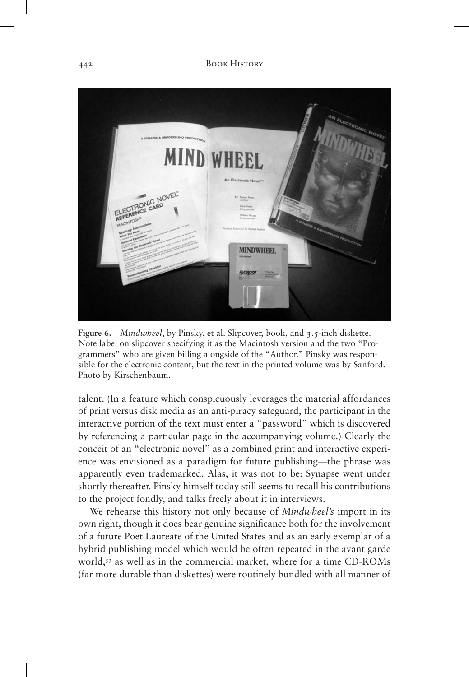

**Figure 6.** *Mindwheel*, by Pinsky, et al. Slipcover, book, and 3.5-inch diskette. Note label on slipcover specifying it as the Macintosh version and the two "Programmers" who are given billing alongside of the "Author." Pinsky was responsible for the electronic content, but the text in the printed volume was by Sanford. Photo by Kirschenbaum.

talent. (In a feature which conspicuously leverages the material affordances of print versus disk media as an anti-piracy safeguard, the participant in the interactive portion of the text must enter a "password" which is discovered by referencing a particular page in the accompanying volume.) Clearly the conceit of an "electronic novel" as a combined print and interactive experience was envisioned as a paradigm for future publishing—the phrase was apparently even trademarked. Alas, it was not to be: Synapse went under shortly thereafter. Pinsky himself today still seems to recall his contributions to the project fondly, and talks freely about it in interviews.

We rehearse this history not only because of *Mindwheel's* import in its own right, though it does bear genuine significance both for the involvement of a future Poet Laureate of the United States and as an early exemplar of a hybrid publishing model which would be often repeated in the avant garde world,<sup>53</sup> as well as in the commercial market, where for a time CD-ROMs (far more durable than diskettes) were routinely bundled with all manner of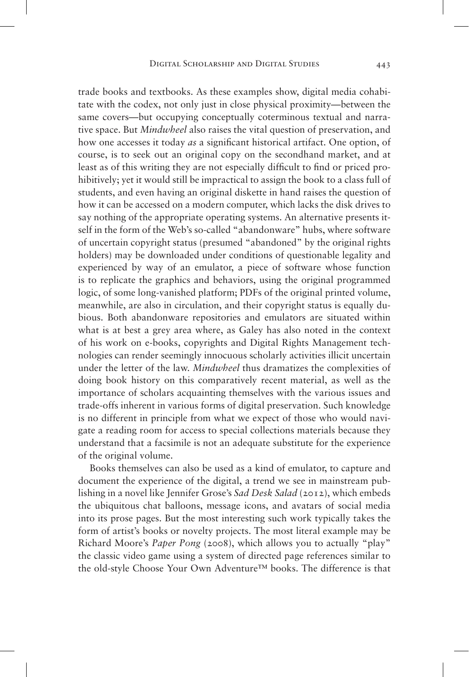trade books and textbooks. As these examples show, digital media cohabitate with the codex, not only just in close physical proximity—between the same covers—but occupying conceptually coterminous textual and narrative space. But *Mindwheel* also raises the vital question of preservation, and how one accesses it today *as* a significant historical artifact. One option, of course, is to seek out an original copy on the secondhand market, and at least as of this writing they are not especially difficult to find or priced prohibitively; yet it would still be impractical to assign the book to a class full of students, and even having an original diskette in hand raises the question of how it can be accessed on a modern computer, which lacks the disk drives to say nothing of the appropriate operating systems. An alternative presents itself in the form of the Web's so-called "abandonware" hubs, where software of uncertain copyright status (presumed "abandoned" by the original rights holders) may be downloaded under conditions of questionable legality and experienced by way of an emulator, a piece of software whose function is to replicate the graphics and behaviors, using the original programmed logic, of some long-vanished platform; PDFs of the original printed volume, meanwhile, are also in circulation, and their copyright status is equally dubious. Both abandonware repositories and emulators are situated within what is at best a grey area where, as Galey has also noted in the context of his work on e-books, copyrights and Digital Rights Management technologies can render seemingly innocuous scholarly activities illicit uncertain under the letter of the law. *Mindwheel* thus dramatizes the complexities of doing book history on this comparatively recent material, as well as the importance of scholars acquainting themselves with the various issues and trade-offs inherent in various forms of digital preservation. Such knowledge is no different in principle from what we expect of those who would navigate a reading room for access to special collections materials because they understand that a facsimile is not an adequate substitute for the experience of the original volume.

Books themselves can also be used as a kind of emulator, to capture and document the experience of the digital, a trend we see in mainstream publishing in a novel like Jennifer Grose's *Sad Desk Salad* (2012), which embeds the ubiquitous chat balloons, message icons, and avatars of social media into its prose pages. But the most interesting such work typically takes the form of artist's books or novelty projects. The most literal example may be Richard Moore's *Paper Pong* (2008), which allows you to actually "play" the classic video game using a system of directed page references similar to the old-style Choose Your Own Adventure™ books. The difference is that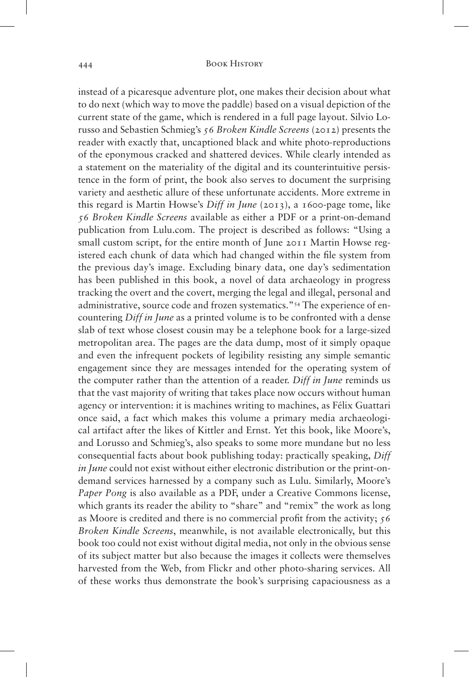instead of a picaresque adventure plot, one makes their decision about what to do next (which way to move the paddle) based on a visual depiction of the current state of the game, which is rendered in a full page layout. Silvio Lorusso and Sebastien Schmieg's *56 Broken Kindle Screens* (2012) presents the reader with exactly that, uncaptioned black and white photo-reproductions of the eponymous cracked and shattered devices. While clearly intended as a statement on the materiality of the digital and its counterintuitive persistence in the form of print, the book also serves to document the surprising variety and aesthetic allure of these unfortunate accidents. More extreme in this regard is Martin Howse's *Diff in June* (2013), a 1600-page tome, like *56 Broken Kindle Screens* available as either a PDF or a print-on-demand publication from Lulu.com. The project is described as follows: "Using a small custom script, for the entire month of June 2011 Martin Howse registered each chunk of data which had changed within the file system from the previous day's image. Excluding binary data, one day's sedimentation has been published in this book, a novel of data archaeology in progress tracking the overt and the covert, merging the legal and illegal, personal and administrative, source code and frozen systematics."54 The experience of encountering *Diff in June* as a printed volume is to be confronted with a dense slab of text whose closest cousin may be a telephone book for a large-sized metropolitan area. The pages are the data dump, most of it simply opaque and even the infrequent pockets of legibility resisting any simple semantic engagement since they are messages intended for the operating system of the computer rather than the attention of a reader. *Diff in June* reminds us that the vast majority of writing that takes place now occurs without human agency or intervention: it is machines writing to machines, as Félix Guattari once said, a fact which makes this volume a primary media archaeological artifact after the likes of Kittler and Ernst. Yet this book, like Moore's, and Lorusso and Schmieg's, also speaks to some more mundane but no less consequential facts about book publishing today: practically speaking, *Diff in June* could not exist without either electronic distribution or the print-ondemand services harnessed by a company such as Lulu. Similarly, Moore's *Paper Pong* is also available as a PDF, under a Creative Commons license, which grants its reader the ability to "share" and "remix" the work as long as Moore is credited and there is no commercial profit from the activity; *56 Broken Kindle Screens*, meanwhile, is not available electronically, but this book too could not exist without digital media, not only in the obvious sense of its subject matter but also because the images it collects were themselves harvested from the Web, from Flickr and other photo-sharing services. All of these works thus demonstrate the book's surprising capaciousness as a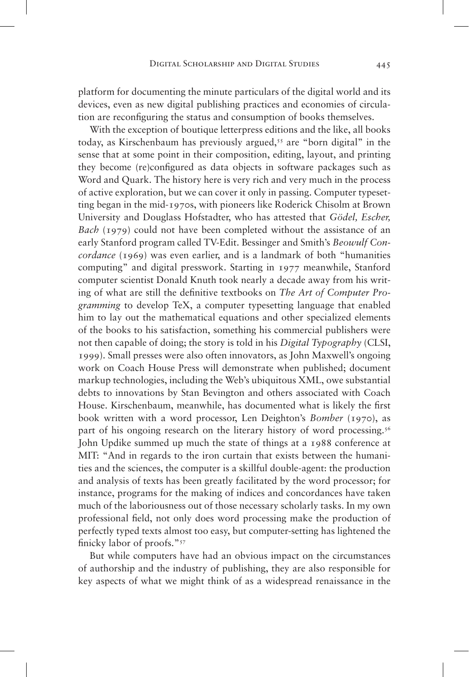platform for documenting the minute particulars of the digital world and its devices, even as new digital publishing practices and economies of circulation are reconfiguring the status and consumption of books themselves.

With the exception of boutique letterpress editions and the like, all books today, as Kirschenbaum has previously argued,<sup>55</sup> are "born digital" in the sense that at some point in their composition, editing, layout, and printing they become (re)configured as data objects in software packages such as Word and Quark. The history here is very rich and very much in the process of active exploration, but we can cover it only in passing. Computer typesetting began in the mid-1970s, with pioneers like Roderick Chisolm at Brown University and Douglass Hofstadter, who has attested that *Gödel, Escher, Bach* (1979) could not have been completed without the assistance of an early Stanford program called TV-Edit. Bessinger and Smith's *Beowulf Concordance* (1969) was even earlier, and is a landmark of both "humanities" computing" and digital presswork. Starting in 1977 meanwhile, Stanford computer scientist Donald Knuth took nearly a decade away from his writing of what are still the definitive textbooks on *The Art of Computer Programming* to develop TeX, a computer typesetting language that enabled him to lay out the mathematical equations and other specialized elements of the books to his satisfaction, something his commercial publishers were not then capable of doing; the story is told in his *Digital Typography* (CLSI, 1999). Small presses were also often innovators, as John Maxwell's ongoing work on Coach House Press will demonstrate when published; document markup technologies, including the Web's ubiquitous XML, owe substantial debts to innovations by Stan Bevington and others associated with Coach House. Kirschenbaum, meanwhile, has documented what is likely the first book written with a word processor, Len Deighton's *Bomber* (1970), as part of his ongoing research on the literary history of word processing.<sup>56</sup> John Updike summed up much the state of things at a 1988 conference at MIT: "And in regards to the iron curtain that exists between the humanities and the sciences, the computer is a skillful double-agent: the production and analysis of texts has been greatly facilitated by the word processor; for instance, programs for the making of indices and concordances have taken much of the laboriousness out of those necessary scholarly tasks. In my own professional field, not only does word processing make the production of perfectly typed texts almost too easy, but computer-setting has lightened the finicky labor of proofs."<sup>57</sup>

But while computers have had an obvious impact on the circumstances of authorship and the industry of publishing, they are also responsible for key aspects of what we might think of as a widespread renaissance in the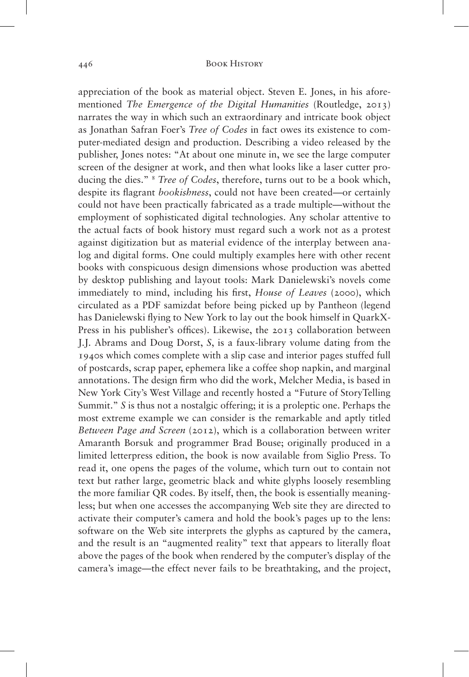appreciation of the book as material object. Steven E. Jones, in his aforementioned *The Emergence of the Digital Humanities* (Routledge, 2013) narrates the way in which such an extraordinary and intricate book object as Jonathan Safran Foer's *Tree of Codes* in fact owes its existence to computer-mediated design and production. Describing a video released by the publisher, Jones notes: "At about one minute in, we see the large computer screen of the designer at work, and then what looks like a laser cutter producing the dies." <sup>8</sup> *Tree of Codes*, therefore, turns out to be a book which, despite its flagrant *bookishness*, could not have been created—or certainly could not have been practically fabricated as a trade multiple—without the employment of sophisticated digital technologies. Any scholar attentive to the actual facts of book history must regard such a work not as a protest against digitization but as material evidence of the interplay between analog and digital forms. One could multiply examples here with other recent books with conspicuous design dimensions whose production was abetted by desktop publishing and layout tools: Mark Danielewski's novels come immediately to mind, including his first, *House of Leaves* (2000), which circulated as a PDF samizdat before being picked up by Pantheon (legend has Danielewski flying to New York to lay out the book himself in QuarkX-Press in his publisher's offices). Likewise, the 2013 collaboration between J.J. Abrams and Doug Dorst, *S*, is a faux-library volume dating from the 1940s which comes complete with a slip case and interior pages stuffed full of postcards, scrap paper, ephemera like a coffee shop napkin, and marginal annotations. The design firm who did the work, Melcher Media, is based in New York City's West Village and recently hosted a "Future of StoryTelling Summit." *S* is thus not a nostalgic offering; it is a proleptic one. Perhaps the most extreme example we can consider is the remarkable and aptly titled *Between Page and Screen* (2012), which is a collaboration between writer Amaranth Borsuk and programmer Brad Bouse; originally produced in a limited letterpress edition, the book is now available from Siglio Press. To read it, one opens the pages of the volume, which turn out to contain not text but rather large, geometric black and white glyphs loosely resembling the more familiar QR codes. By itself, then, the book is essentially meaningless; but when one accesses the accompanying Web site they are directed to activate their computer's camera and hold the book's pages up to the lens: software on the Web site interprets the glyphs as captured by the camera, and the result is an "augmented reality" text that appears to literally float above the pages of the book when rendered by the computer's display of the camera's image—the effect never fails to be breathtaking, and the project,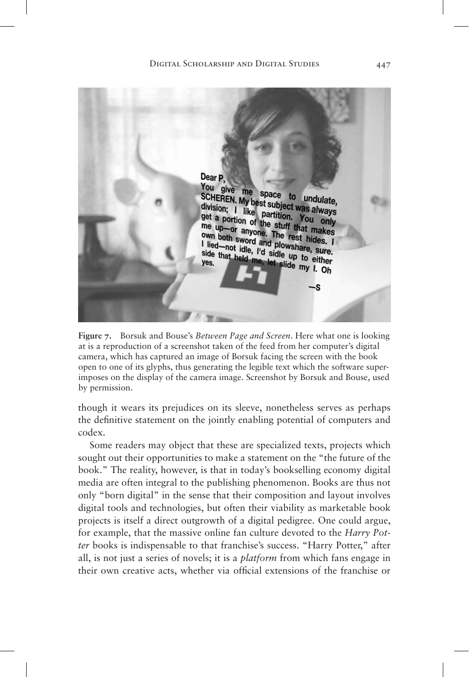

**Figure 7.** Borsuk and Bouse's *Between Page and Screen*. Here what one is looking at is a reproduction of a screenshot taken of the feed from her computer's digital camera, which has captured an image of Borsuk facing the screen with the book open to one of its glyphs, thus generating the legible text which the software superimposes on the display of the camera image. Screenshot by Borsuk and Bouse, used by permission.

though it wears its prejudices on its sleeve, nonetheless serves as perhaps the definitive statement on the jointly enabling potential of computers and codex.

Some readers may object that these are specialized texts, projects which sought out their opportunities to make a statement on the "the future of the book." The reality, however, is that in today's bookselling economy digital media are often integral to the publishing phenomenon. Books are thus not only "born digital" in the sense that their composition and layout involves digital tools and technologies, but often their viability as marketable book projects is itself a direct outgrowth of a digital pedigree. One could argue, for example, that the massive online fan culture devoted to the *Harry Potter* books is indispensable to that franchise's success. "Harry Potter," after all, is not just a series of novels; it is a *platform* from which fans engage in their own creative acts, whether via official extensions of the franchise or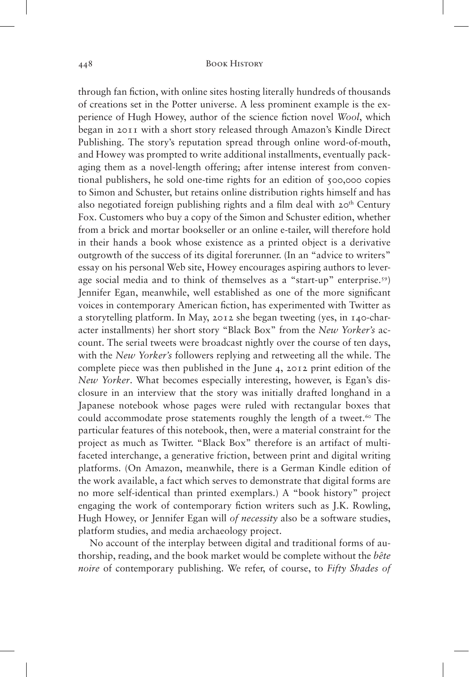through fan fiction, with online sites hosting literally hundreds of thousands of creations set in the Potter universe. A less prominent example is the experience of Hugh Howey, author of the science fiction novel *Wool*, which began in 2011 with a short story released through Amazon's Kindle Direct Publishing. The story's reputation spread through online word-of-mouth, and Howey was prompted to write additional installments, eventually packaging them as a novel-length offering; after intense interest from conventional publishers, he sold one-time rights for an edition of 500,000 copies to Simon and Schuster, but retains online distribution rights himself and has also negotiated foreign publishing rights and a film deal with  $20<sup>th</sup>$  Century Fox. Customers who buy a copy of the Simon and Schuster edition, whether from a brick and mortar bookseller or an online e-tailer, will therefore hold in their hands a book whose existence as a printed object is a derivative outgrowth of the success of its digital forerunner. (In an "advice to writers" essay on his personal Web site, Howey encourages aspiring authors to leverage social media and to think of themselves as a "start-up" enterprise.<sup>59</sup>) Jennifer Egan, meanwhile, well established as one of the more significant voices in contemporary American fiction, has experimented with Twitter as a storytelling platform. In May, 2012 she began tweeting (yes, in 140-character installments) her short story "Black Box" from the *New Yorker's* account. The serial tweets were broadcast nightly over the course of ten days, with the *New Yorker's* followers replying and retweeting all the while. The complete piece was then published in the June 4, 2012 print edition of the *New Yorker*. What becomes especially interesting, however, is Egan's disclosure in an interview that the story was initially drafted longhand in a Japanese notebook whose pages were ruled with rectangular boxes that could accommodate prose statements roughly the length of a tweet.<sup>60</sup> The particular features of this notebook, then, were a material constraint for the project as much as Twitter. "Black Box" therefore is an artifact of multifaceted interchange, a generative friction, between print and digital writing platforms. (On Amazon, meanwhile, there is a German Kindle edition of the work available, a fact which serves to demonstrate that digital forms are no more self-identical than printed exemplars.) A "book history" project engaging the work of contemporary fiction writers such as J.K. Rowling, Hugh Howey, or Jennifer Egan will *of necessity* also be a software studies, platform studies, and media archaeology project.

No account of the interplay between digital and traditional forms of authorship, reading, and the book market would be complete without the *bête noire* of contemporary publishing. We refer, of course, to *Fifty Shades of*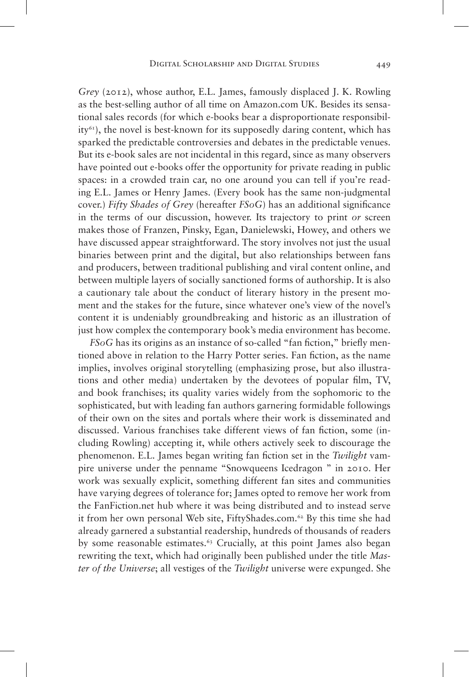*Grey* (2012), whose author, E.L. James, famously displaced J. K. Rowling as the best-selling author of all time on Amazon.com UK. Besides its sensational sales records (for which e-books bear a disproportionate responsibil $ity<sup>61</sup>$ , the novel is best-known for its supposedly daring content, which has sparked the predictable controversies and debates in the predictable venues. But its e-book sales are not incidental in this regard, since as many observers have pointed out e-books offer the opportunity for private reading in public spaces: in a crowded train car, no one around you can tell if you're reading E.L. James or Henry James. (Every book has the same non-judgmental cover.) *Fifty Shades of Grey* (hereafter *FSoG*) has an additional significance in the terms of our discussion, however. Its trajectory to print *or* screen makes those of Franzen, Pinsky, Egan, Danielewski, Howey, and others we have discussed appear straightforward. The story involves not just the usual binaries between print and the digital, but also relationships between fans and producers, between traditional publishing and viral content online, and between multiple layers of socially sanctioned forms of authorship. It is also a cautionary tale about the conduct of literary history in the present moment and the stakes for the future, since whatever one's view of the novel's content it is undeniably groundbreaking and historic as an illustration of just how complex the contemporary book's media environment has become.

*FSoG* has its origins as an instance of so-called "fan fiction," briefly mentioned above in relation to the Harry Potter series. Fan fiction, as the name implies, involves original storytelling (emphasizing prose, but also illustrations and other media) undertaken by the devotees of popular film, TV, and book franchises; its quality varies widely from the sophomoric to the sophisticated, but with leading fan authors garnering formidable followings of their own on the sites and portals where their work is disseminated and discussed. Various franchises take different views of fan fiction, some (including Rowling) accepting it, while others actively seek to discourage the phenomenon. E.L. James began writing fan fiction set in the *Twilight* vampire universe under the penname "Snowqueens Icedragon " in 2010. Her work was sexually explicit, something different fan sites and communities have varying degrees of tolerance for; James opted to remove her work from the FanFiction.net hub where it was being distributed and to instead serve it from her own personal Web site, FiftyShades.com.62 By this time she had already garnered a substantial readership, hundreds of thousands of readers by some reasonable estimates.<sup>63</sup> Crucially, at this point James also began rewriting the text, which had originally been published under the title *Master of the Universe*; all vestiges of the *Twilight* universe were expunged. She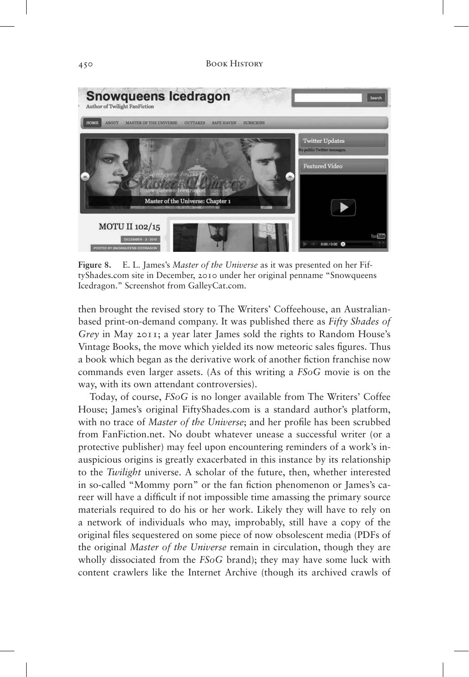

**Figure 8.** E. L. James's *Master of the Universe* as it was presented on her FiftyShades.com site in December, 2010 under her original penname "Snowqueens Icedragon." Screenshot from GalleyCat.com.

then brought the revised story to The Writers' Coffeehouse, an Australianbased print-on-demand company. It was published there as *Fifty Shades of Grey* in May 2011; a year later James sold the rights to Random House's Vintage Books, the move which yielded its now meteoric sales figures. Thus a book which began as the derivative work of another fiction franchise now commands even larger assets. (As of this writing a *FSoG* movie is on the way, with its own attendant controversies).

Today, of course, *FSoG* is no longer available from The Writers' Coffee House; James's original FiftyShades.com is a standard author's platform, with no trace of *Master of the Universe*; and her profile has been scrubbed from FanFiction.net. No doubt whatever unease a successful writer (or a protective publisher) may feel upon encountering reminders of a work's inauspicious origins is greatly exacerbated in this instance by its relationship to the *Twilight* universe. A scholar of the future, then, whether interested in so-called "Mommy porn" or the fan fiction phenomenon or James's career will have a difficult if not impossible time amassing the primary source materials required to do his or her work. Likely they will have to rely on a network of individuals who may, improbably, still have a copy of the original files sequestered on some piece of now obsolescent media (PDFs of the original *Master of the Universe* remain in circulation, though they are wholly dissociated from the *FSoG* brand); they may have some luck with content crawlers like the Internet Archive (though its archived crawls of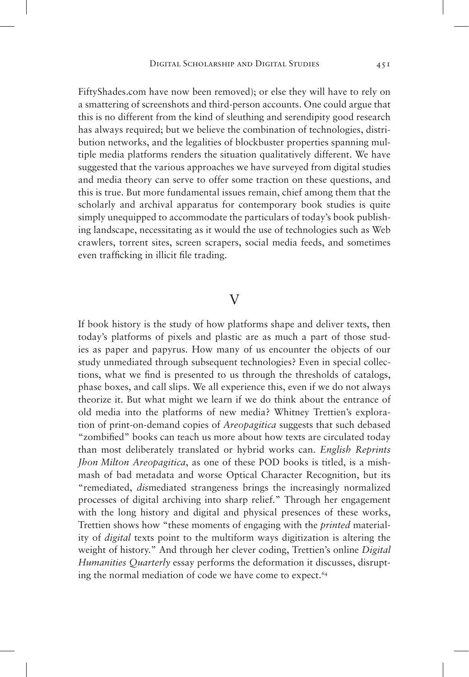FiftyShades.com have now been removed); or else they will have to rely on a smattering of screenshots and third-person accounts. One could argue that this is no different from the kind of sleuthing and serendipity good research has always required; but we believe the combination of technologies, distribution networks, and the legalities of blockbuster properties spanning multiple media platforms renders the situation qualitatively different. We have suggested that the various approaches we have surveyed from digital studies and media theory can serve to offer some traction on these questions, and this is true. But more fundamental issues remain, chief among them that the scholarly and archival apparatus for contemporary book studies is quite simply unequipped to accommodate the particulars of today's book publishing landscape, necessitating as it would the use of technologies such as Web crawlers, torrent sites, screen scrapers, social media feeds, and sometimes even trafficking in illicit file trading.

## $\rm V$

If book history is the study of how platforms shape and deliver texts, then today's platforms of pixels and plastic are as much a part of those studies as paper and papyrus. How many of us encounter the objects of our study unmediated through subsequent technologies? Even in special collections, what we find is presented to us through the thresholds of catalogs, phase boxes, and call slips. We all experience this, even if we do not always theorize it. But what might we learn if we do think about the entrance of old media into the platforms of new media? Whitney Trettien's exploration of print-on-demand copies of *Areopagitica* suggests that such debased "zombified" books can teach us more about how texts are circulated today than most deliberately translated or hybrid works can. *English Reprints Jhon Milton Areopagitica*, as one of these POD books is titled, is a mishmash of bad metadata and worse Optical Character Recognition, but its "remediated, *dis*mediated strangeness brings the increasingly normalized processes of digital archiving into sharp relief." Through her engagement with the long history and digital and physical presences of these works, Trettien shows how "these moments of engaging with the *printed* materiality of *digital* texts point to the multiform ways digitization is altering the weight of history." And through her clever coding, Trettien's online *Digital Humanities Quarterly* essay performs the deformation it discusses, disrupting the normal mediation of code we have come to expect.<sup>64</sup>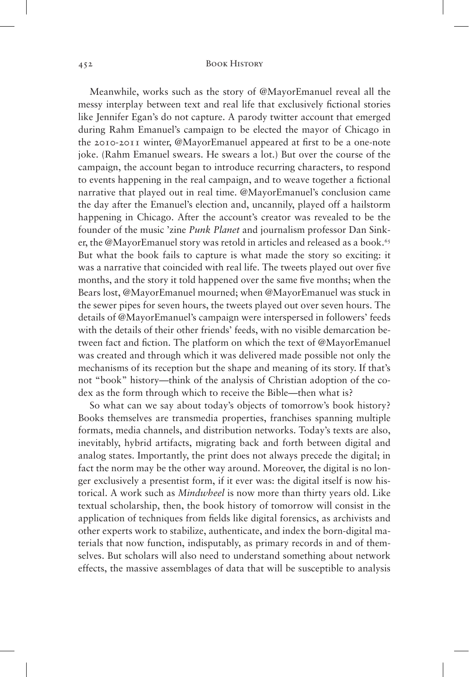Meanwhile, works such as the story of @MayorEmanuel reveal all the messy interplay between text and real life that exclusively fictional stories like Jennifer Egan's do not capture. A parody twitter account that emerged during Rahm Emanuel's campaign to be elected the mayor of Chicago in the 2010-2011 winter, @MayorEmanuel appeared at first to be a one-note joke. (Rahm Emanuel swears. He swears a lot.) But over the course of the campaign, the account began to introduce recurring characters, to respond to events happening in the real campaign, and to weave together a fictional narrative that played out in real time. @MayorEmanuel's conclusion came the day after the Emanuel's election and, uncannily, played off a hailstorm happening in Chicago. After the account's creator was revealed to be the founder of the music 'zine *Punk Planet* and journalism professor Dan Sinker, the @MayorEmanuel story was retold in articles and released as a book.<sup>65</sup> But what the book fails to capture is what made the story so exciting: it was a narrative that coincided with real life. The tweets played out over five months, and the story it told happened over the same five months; when the Bears lost, @MayorEmanuel mourned; when @MayorEmanuel was stuck in the sewer pipes for seven hours, the tweets played out over seven hours. The details of @MayorEmanuel's campaign were interspersed in followers' feeds with the details of their other friends' feeds, with no visible demarcation between fact and fiction. The platform on which the text of @MayorEmanuel was created and through which it was delivered made possible not only the mechanisms of its reception but the shape and meaning of its story. If that's not "book" history—think of the analysis of Christian adoption of the codex as the form through which to receive the Bible—then what is?

So what can we say about today's objects of tomorrow's book history? Books themselves are transmedia properties, franchises spanning multiple formats, media channels, and distribution networks. Today's texts are also, inevitably, hybrid artifacts, migrating back and forth between digital and analog states. Importantly, the print does not always precede the digital; in fact the norm may be the other way around. Moreover, the digital is no longer exclusively a presentist form, if it ever was: the digital itself is now historical. A work such as *Mindwheel* is now more than thirty years old. Like textual scholarship, then, the book history of tomorrow will consist in the application of techniques from fields like digital forensics, as archivists and other experts work to stabilize, authenticate, and index the born-digital materials that now function, indisputably, as primary records in and of themselves. But scholars will also need to understand something about network effects, the massive assemblages of data that will be susceptible to analysis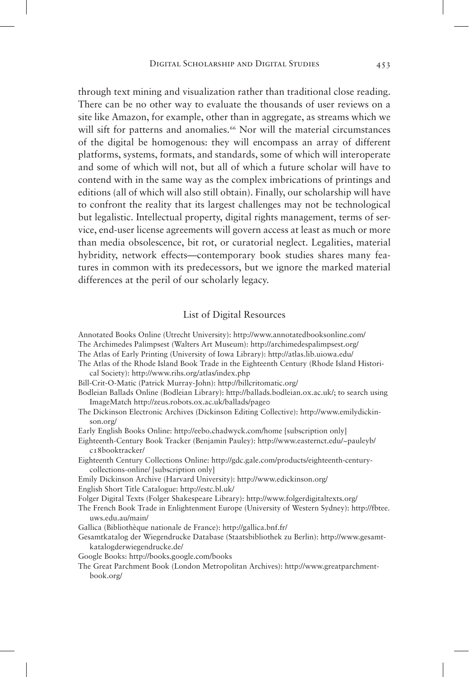through text mining and visualization rather than traditional close reading. There can be no other way to evaluate the thousands of user reviews on a site like Amazon, for example, other than in aggregate, as streams which we will sift for patterns and anomalies.<sup>66</sup> Nor will the material circumstances of the digital be homogenous: they will encompass an array of different platforms, systems, formats, and standards, some of which will interoperate and some of which will not, but all of which a future scholar will have to contend with in the same way as the complex imbrications of printings and editions (all of which will also still obtain). Finally, our scholarship will have to confront the reality that its largest challenges may not be technological but legalistic. Intellectual property, digital rights management, terms of service, end-user license agreements will govern access at least as much or more than media obsolescence, bit rot, or curatorial neglect. Legalities, material hybridity, network effects—contemporary book studies shares many features in common with its predecessors, but we ignore the marked material differences at the peril of our scholarly legacy.

### List of Digital Resources

Annotated Books Online (Utrecht University): http://www.annotatedbooksonline.com/ The Archimedes Palimpsest (Walters Art Museum): http://archimedespalimpsest.org/

- The Atlas of Early Printing (University of Iowa Library): http://atlas.lib.uiowa.edu/
- 
- The Atlas of the Rhode Island Book Trade in the Eighteenth Century (Rhode Island Historical Society): http://www.rihs.org/atlas/index.php
- Bill-Crit-O-Matic (Patrick Murray-John): http://billcritomatic.org/
- Bodleian Ballads Online (Bodleian Library): http://ballads.bodleian.ox.ac.uk/; to search using ImageMatch http://zeus.robots.ox.ac.uk/ballads/page0
- The Dickinson Electronic Archives (Dickinson Editing Collective): http://www.emilydickinson.org/
- Early English Books Online: http://eebo.chadwyck.com/home [subscription only]
- Eighteenth-Century Book Tracker (Benjamin Pauley): http://www.easternct.edu/~pauleyb/ c18booktracker/
- Eighteenth Century Collections Online: http://gdc.gale.com/products/eighteenth-centurycollections-online/ [subscription only]
- Emily Dickinson Archive (Harvard University): http://www.edickinson.org/
- English Short Title Catalogue: http://estc.bl.uk/
- Folger Digital Texts (Folger Shakespeare Library): http://www.folgerdigitaltexts.org/
- The French Book Trade in Enlightenment Europe (University of Western Sydney): http://fbtee. uws.edu.au/main/
- Gallica (Bibliothèque nationale de France): http://gallica.bnf.fr/
- Gesamtkatalog der Wiegendrucke Database (Staatsbibliothek zu Berlin): http://www.gesamtkatalogderwiegendrucke.de/
- Google Books: http://books.google.com/books
- The Great Parchment Book (London Metropolitan Archives): http://www.greatparchmentbook.org/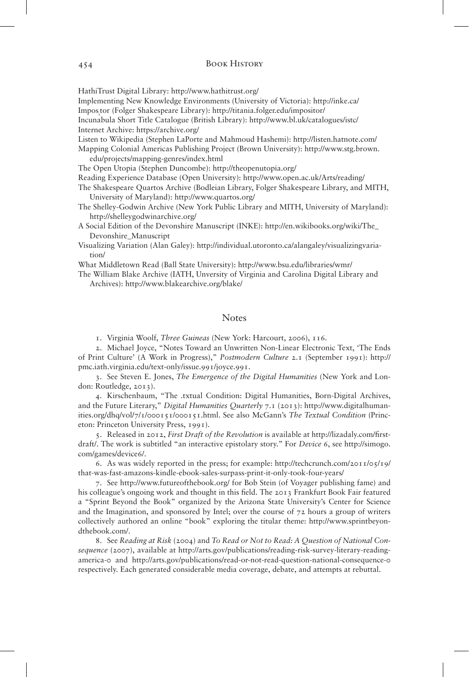HathiTrust Digital Library: http://www.hathitrust.org/

Implementing New Knowledge Environments (University of Victoria): http://inke.ca/

Imposi tor (Folger Shakespeare Library): http://titania.folger.edu/impositor/

Incunabula Short Title Catalogue (British Library): http://www.bl.uk/catalogues/istc/ Internet Archive: https://archive.org/

Listen to Wikipedia (Stephen LaPorte and Mahmoud Hashemi): http://listen.hatnote.com/

Mapping Colonial Americas Publishing Project (Brown University): http://www.stg.brown. edu/projects/mapping-genres/index.html

The Open Utopia (Stephen Duncombe): http://theopenutopia.org/

Reading Experience Database (Open University): http://www.open.ac.uk/Arts/reading/

The Shakespeare Quartos Archive (Bodleian Library, Folger Shakespeare Library, and MITH, University of Maryland): http://www.quartos.org/

The Shelley-Godwin Archive (New York Public Library and MITH, University of Maryland): http://shelleygodwinarchive.org/

A Social Edition of the Devonshire Manuscript (INKE): http://en.wikibooks.org/wiki/The\_ Devonshire\_Manuscript

Visualizing Variation (Alan Galey): http://individual.utoronto.ca/alangaley/visualizingvariation/

What Middletown Read (Ball State University): http://www.bsu.edu/libraries/wmr/

The William Blake Archive (IATH, Unversity of Virginia and Carolina Digital Library and Archives): http://www.blakearchive.org/blake/

### **Notes**

1. Virginia Woolf, *Three Guineas* (New York: Harcourt, 2006), 116.

2. Michael Joyce, "Notes Toward an Unwritten Non-Linear Electronic Text, 'The Ends of Print Culture' (A Work in Progress)," *Postmodern Culture* 2.1 (September 1991): http:// pmc.iath.virginia.edu/text-only/issue.991/joyce.991.

3. See Steven E. Jones, *The Emergence of the Digital Humanities* (New York and London: Routledge, 2013).

4. Kirschenbaum, "The .txtual Condition: Digital Humanities, Born-Digital Archives, and the Future Literary," *Digital Humanities Quarterly* 7.1 (2013): http://www.digitalhumanities.org/dhq/vol/7/1/000151/000151.html. See also McGann's *The Textual Condition* (Princeton: Princeton University Press, 1991).

5. Released in 2012, *First Draft of the Revolution* is available at http://lizadaly.com/firstdraft/. The work is subtitled "an interactive epistolary story." For *Device 6*, see http://simogo. com/games/device6/.

6. As was widely reported in the press; for example: http://techcrunch.com/2011/05/19/ that-was-fast-amazons-kindle-ebook-sales-surpass-print-it-only-took-four-years/

7. See http://www.futureofthebook.org/ for Bob Stein (of Voyager publishing fame) and his colleague's ongoing work and thought in this field. The 2013 Frankfurt Book Fair featured a "Sprint Beyond the Book" organized by the Arizona State University's Center for Science and the Imagination, and sponsored by Intel; over the course of 72 hours a group of writers collectively authored an online "book" exploring the titular theme: http://www.sprintbeyondthebook.com/.

8. See *Reading at Risk* (2004) and *To Read or Not to Read: A Question of National Consequence* (2007), available at http://arts.gov/publications/reading-risk-survey-literary-readingamerica-0 and http://arts.gov/publications/read-or-not-read-question-national-consequence-0 respectively. Each generated considerable media coverage, debate, and attempts at rebuttal.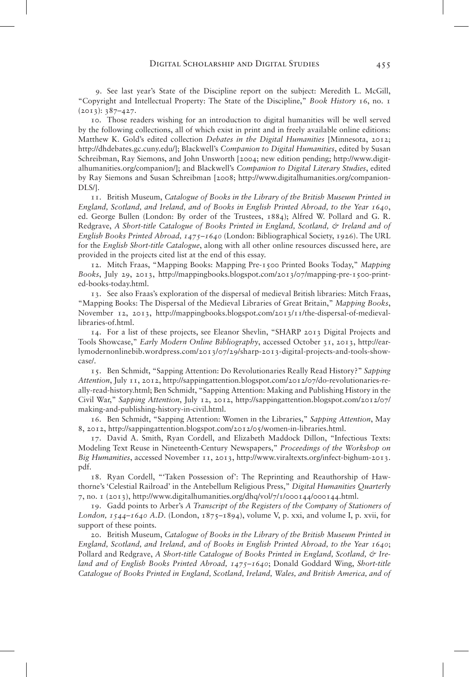9. See last year's State of the Discipline report on the subject: Meredith L. McGill, "Copyright and Intellectual Property: The State of the Discipline," *Book History* 16, no. 1  $(2013): 387-427.$ 

10. Those readers wishing for an introduction to digital humanities will be well served by the following collections, all of which exist in print and in freely available online editions: Matthew K. Gold's edited collection *Debates in the Digital Humanities* [Minnesota, 2012; http://dhdebates.gc.cuny.edu/]; Blackwell's *Companion to Digital Humanities*, edited by Susan Schreibman, Ray Siemons, and John Unsworth [2004; new edition pending; http://www.digitalhumanities.org/companion/]; and Blackwell's *Companion to Digital Literary Studies*, edited by Ray Siemons and Susan Schreibman [2008; http://www.digitalhumanities.org/companion-DLS/].

11. British Museum, *Catalogue of Books in the Library of the British Museum Printed in England, Scotland, and Ireland, and of Books in English Printed Abroad, to the Year 1640,* ed. George Bullen (London: By order of the Trustees, 1884); Alfred W. Pollard and G. R. Redgrave, *A Short-title Catalogue of Books Printed in England, Scotland, & Ireland and of English Books Printed Abroad, 1475–1640* (London: Bibliographical Society, 1926). The URL for the *English Short-title Catalogue*, along with all other online resources discussed here, are provided in the projects cited list at the end of this essay.

12. Mitch Fraas, "Mapping Books: Mapping Pre-1500 Printed Books Today," *Mapping Books*, July 29, 2013, http://mappingbooks.blogspot.com/2013/07/mapping-pre-1500-printed-books-today.html.

13. See also Fraas's exploration of the dispersal of medieval British libraries: Mitch Fraas, "Mapping Books: The Dispersal of the Medieval Libraries of Great Britain," *Mapping Books*, November 12, 2013, http://mappingbooks.blogspot.com/2013/11/the-dispersal-of-medievallibraries-of.html.

14. For a list of these projects, see Eleanor Shevlin, "SHARP 2013 Digital Projects and Tools Showcase," *Early Modern Online Bibliography*, accessed October 31, 2013, http://earlymodernonlinebib.wordpress.com/2013/07/29/sharp-2013-digital-projects-and-tools-showcase/.

15. Ben Schmidt, "Sapping Attention: Do Revolutionaries Really Read History?" *Sapping Attention*, July 11, 2012, http://sappingattention.blogspot.com/2012/07/do-revolutionaries-really-read-history.html; Ben Schmidt, "Sapping Attention: Making and Publishing History in the Civil War," *Sapping Attention*, July 12, 2012, http://sappingattention.blogspot.com/2012/07/ making-and-publishing-history-in-civil.html.

16. Ben Schmidt, "Sapping Attention: Women in the Libraries," *Sapping Attention*, May 8, 2012, http://sappingattention.blogspot.com/2012/05/women-in-libraries.html.

17. David A. Smith, Ryan Cordell, and Elizabeth Maddock Dillon, "Infectious Texts: Modeling Text Reuse in Nineteenth-Century Newspapers," *Proceedings of the Workshop on Big Humanities*, accessed November 11, 2013, http://www.viraltexts.org/infect-bighum-2013. pdf.

18. Ryan Cordell, "'Taken Possession of': The Reprinting and Reauthorship of Hawthorne's 'Celestial Railroad' in the Antebellum Religious Press," *Digital Humanities Quarterly* 7, no. 1 (2013), http://www.digitalhumanities.org/dhq/vol/7/1/000144/000144.html.

19. Gadd points to Arber's *A Transcript of the Registers of the Company of Stationers of London, 1544–1640 A.D.* (London, 1875–1894), volume V, p. xxi, and volume I, p. xvii, for support of these points.

20. British Museum, *Catalogue of Books in the Library of the British Museum Printed in England, Scotland, and Ireland, and of Books in English Printed Abroad, to the Year 1640*; Pollard and Redgrave, A Short-title Catalogue of Books Printed in England, Scotland, & Ire*land and of English Books Printed Abroad, 1475–1640*; Donald Goddard Wing, *Short-title Catalogue of Books Printed in England, Scotland, Ireland, Wales, and British America, and of*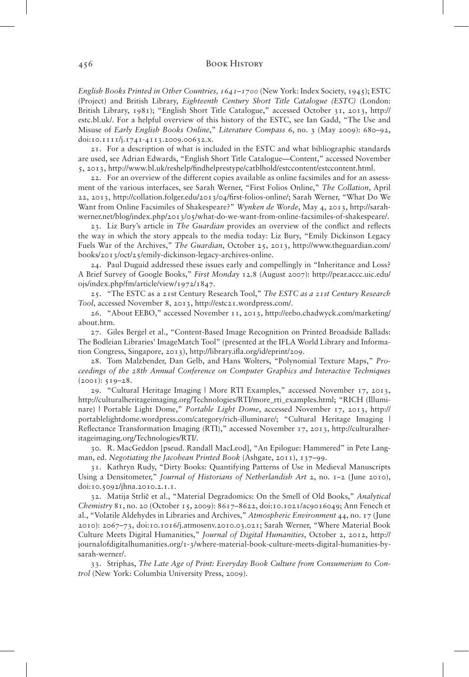*English Books Printed in Other Countries, 1641–1700* (New York: Index Society, 1945); ESTC (Project) and British Library, *Eighteenth Century Short Title Catalogue (ESTC)* (London: British Library, 1981); "English Short Title Catalogue," accessed October 31, 2013, http:// estc.bl.uk/. For a helpful overview of this history of the ESTC, see Ian Gadd, "The Use and Misuse of *Early English Books Online*," *Literature Compass* 6, no. 3 (May 2009): 680–92, doi:10.1111/j.1741-4113.2009.00632.x.

21. For a description of what is included in the ESTC and what bibliographic standards are used, see Adrian Edwards, "English Short Title Catalogue—Content," accessed November 5, 2013, http://www.bl.uk/reshelp/findhelprestype/catblhold/estccontent/estccontent.html.

22. For an overview of the different copies available as online facsimiles and for an assessment of the various interfaces, see Sarah Werner, "First Folios Online," *The Collation*, April 22, 2013, http://collation.folger.edu/2013/04/first-folios-online/; Sarah Werner, "What Do We Want from Online Facsimiles of Shakespeare?" *Wynken de Worde*, May 4, 2013, http://sarahwerner.net/blog/index.php/2013/05/what-do-we-want-from-online-facsimiles-of-shakespeare/.

23. Liz Bury's article in *The Guardian* provides an overview of the conflict and reflects the way in which the story appeals to the media today: Liz Bury, "Emily Dickinson Legacy Fuels War of the Archives," *The Guardian*, October 25, 2013, http://www.theguardian.com/ books/2013/oct/25/emily-dickinson-legacy-archives-online.

24. Paul Duguid addressed these issues early and compellingly in "Inheritance and Loss? A Brief Survey of Google Books," *First Monday* 12.8 (August 2007): http://pear.accc.uic.edu/ ojs/index.php/fm/article/view/1972/1847.

25. "The ESTC as a 21st Century Research Tool," *The ESTC as a 21st Century Research Tool*, accessed November 8, 2013, http://estc21.wordpress.com/.

26. "About EEBO," accessed November 11, 2013, http://eebo.chadwyck.com/marketing/ about.htm.

27. Giles Bergel et al., "Content-Based Image Recognition on Printed Broadside Ballads: The Bodleian Libraries' ImageMatch Tool" (presented at the IFLA World Library and Information Congress, Singapore, 2013), http://library.ifla.org/id/eprint/209.

28. Tom Malzbender, Dan Gelb, and Hans Wolters, "Polynomial Texture Maps," *Proceedings of the 28th Annual Conference on Computer Graphics and Interactive Techniques* (2001): 519–28.

29. "Cultural Heritage Imaging | More RTI Examples," accessed November 17, 2013, http://culturalheritageimaging.org/Technologies/RTI/more\_rti\_examples.html; "RICH (Illuminare) | Portable Light Dome," *Portable Light Dome*, accessed November 17, 2013, http:// portablelightdome.wordpress.com/category/rich-illuminare/; "Cultural Heritage Imaging | Reflectance Transformation Imaging (RTI)," accessed November 17, 2013, http://culturalheritageimaging.org/Technologies/RTI/.

30. R. MacGeddon [pseud. Randall MacLeod], "An Epilogue: Hammered" in Pete Langman, ed. *Negotiating the Jacobean Printed Book* (Ashgate, 2011), 137–99.

31. Kathryn Rudy, "Dirty Books: Quantifying Patterns of Use in Medieval Manuscripts Using a Densitometer," *Journal of Historians of Netherlandish Art* 2, no. 1-2 (June 2010), doi:10.5092/jhna.2010.2.1.1.

32. Matija Strlič et al., "Material Degradomics: On the Smell of Old Books," *Analytical Chemistry* 81, no. 20 (October 15, 2009): 8617–8622, doi:10.1021/ac9016049; Ann Fenech et al., "Volatile Aldehydes in Libraries and Archives," *Atmospheric Environment* 44, no. 17 (June 2010): 2067–73, doi:10.1016/j.atmosenv.2010.03.021; Sarah Werner, "Where Material Book Culture Meets Digital Humanities," *Journal of Digital Humanities*, October 2, 2012, http:// journalofdigitalhumanities.org/1-3/where-material-book-culture-meets-digital-humanities-bysarah-werner/.

33. Striphas, *The Late Age of Print: Everyday Book Culture from Consumerism to Control* (New York: Columbia University Press, 2009).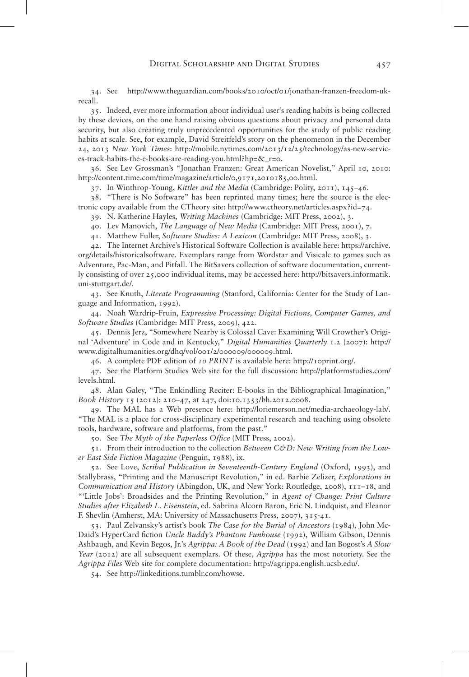34. See http://www.theguardian.com/books/2010/oct/01/jonathan-franzen-freedom-ukrecall.

35. Indeed, ever more information about individual user's reading habits is being collected by these devices, on the one hand raising obvious questions about privacy and personal data security, but also creating truly unprecedented opportunities for the study of public reading habits at scale. See, for example, David Streitfeld's story on the phenomenon in the December 24, 2013 *New York Times*: http://mobile.nytimes.com/2013/12/25/technology/as-new-services-track-habits-the-e-books-are-reading-you.html?hp=&\_r=0.

36. See Lev Grossman's "Jonathan Franzen: Great American Novelist," April 10, 2010: http://content.time.com/time/magazine/article/0,9171,2010185,00.html.

37. In Winthrop-Young, *Kittler and the Media* (Cambridge: Polity, 2011), 145–46.

38. "There is No Software" has been reprinted many times; here the source is the electronic copy available from the CTheory site: http://www.ctheory.net/articles.aspx?id=74.

39. N. Katherine Hayles, *Writing Machines* (Cambridge: MIT Press, 2002), 3.

40. Lev Manovich, *The Language of New Media* (Cambridge: MIT Press, 2001), 7.

41. Matthew Fuller, *Software Studies: A Lexicon* (Cambridge: MIT Press, 2008), 3.

42. The Internet Archive's Historical Software Collection is available here: https://archive. org/details/historicalsoftware. Exemplars range from Wordstar and Visicalc to games such as Adventure, Pac-Man, and Pitfall. The BitSavers collection of software documentation, currently consisting of over 25,000 individual items, may be accessed here: http://bitsavers.informatik. uni-stuttgart.de/.

43. See Knuth, *Literate Programming* (Stanford, California: Center for the Study of Language and Information, 1992).

44. Noah Wardrip-Fruin, *Expressive Processing: Digital Fictions, Computer Games, and Software Studies* (Cambridge: MIT Press, 2009), 422.

45. Dennis Jerz, "Somewhere Nearby is Colossal Cave: Examining Will Crowther's Original 'Adventure' in Code and in Kentucky," *Digital Humanities Quarterly* 1.2 (2007): http:// www.digitalhumanities.org/dhq/vol/001/2/000009/000009.html.

46. A complete PDF edition of *10 PRINT* is available here: http://10print.org/.

47. See the Platform Studies Web site for the full discussion: http://platformstudies.com/ levels.html.

48. Alan Galey, "The Enkindling Reciter: E-books in the Bibliographical Imagination," *Book History* 15 (2012): 210–47, at 247, doi:10.1353/bh.2012.0008.

49. The MAL has a Web presence here: http://loriemerson.net/media-archaeology-lab/. "The MAL is a place for cross-disciplinary experimental research and teaching using obsolete tools, hardware, software and platforms, from the past."

50. See *The Myth of the Paperless Office* (MIT Press, 2002).

51. From their introduction to the collection *Between C&D: New Writing from the Lower East Side Fiction Magazine* (Penguin, 1988), ix.

52. See Love, *Scribal Publication in Seventeenth-Century England* (Oxford, 1993), and Stallybrass, "Printing and the Manuscript Revolution," in ed. Barbie Zelizer, *Explorations in Communication and History* (Abingdon, UK, and New York: Routledge, 2008), 111–18, and "'Little Jobs': Broadsides and the Printing Revolution," in *Agent of Change: Print Culture Studies after Elizabeth L. Eisenstein*, ed. Sabrina Alcorn Baron, Eric N. Lindquist, and Eleanor F. Shevlin (Amherst, MA: University of Massachusetts Press, 2007), 315-41.

53. Paul Zelvansky's artist's book *The Case for the Burial of Ancestors* (1984), John Mc-Daid's HyperCard fiction *Uncle Buddy's Phantom Funhouse* (1992), William Gibson, Dennis Ashbaugh, and Kevin Begos, Jr.'s *Agrippa: A Book of the Dead* (1992) and Ian Bogost's *A Slow Year* (2012) are all subsequent exemplars. Of these, *Agrippa* has the most notoriety. See the *Agrippa Files* Web site for complete documentation: http://agrippa.english.ucsb.edu/.

54. See http://linkeditions.tumblr.com/howse.